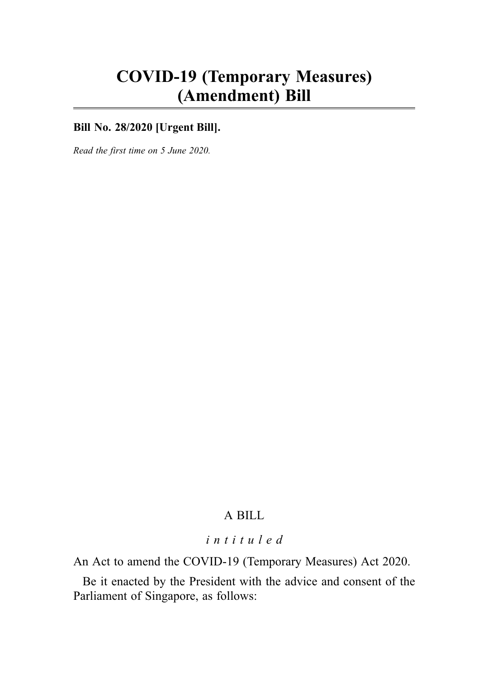# COVID-19 (Temporary Measures) (Amendment) Bill

### **Bill No. 28/2020 [Urgent Bill].**

Read the first time on 5 June 2020.

# A BILL

### intituled

An Act to amend the COVID-19 (Temporary Measures) Act 2020.

Be it enacted by the President with the advice and consent of the Parliament of Singapore, as follows: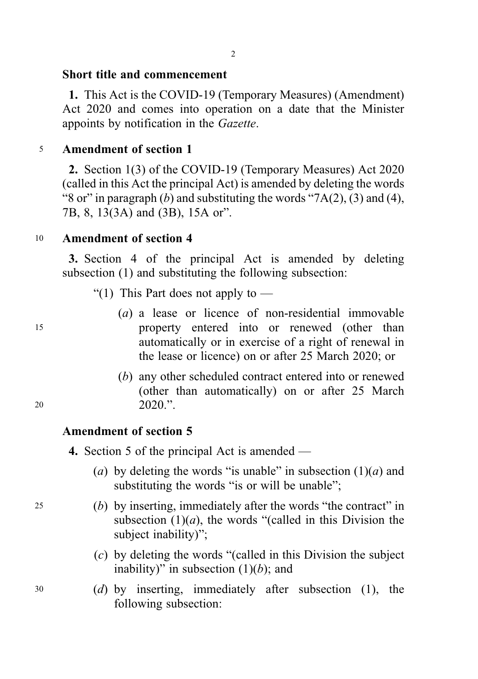# Short title and commencement

1. This Act is the COVID-19 (Temporary Measures) (Amendment) Act 2020 and comes into operation on a date that the Minister appoints by notification in the Gazette.

# <sup>5</sup> Amendment of section 1

2. Section 1(3) of the COVID-19 (Temporary Measures) Act 2020 (called in this Act the principal Act) is amended by deleting the words "8 or" in paragraph  $(b)$  and substituting the words "7A(2), (3) and (4), 7B, 8, 13(3A) and (3B), 15A or".

# <sup>10</sup> Amendment of section 4

3. Section 4 of the principal Act is amended by deleting subsection (1) and substituting the following subsection:

- "(1) This Part does not apply to  $-$
- (a) a lease or licence of non-residential immovable <sup>15</sup> property entered into or renewed (other than automatically or in exercise of a right of renewal in the lease or licence) on or after 25 March 2020; or
- (b) any other scheduled contract entered into or renewed (other than automatically) on or after 25 March 20 2020."

## Amendment of section 5

- 4. Section 5 of the principal Act is amended
	- (a) by deleting the words "is unable" in subsection  $(1)(a)$  and substituting the words "is or will be unable";
- <sup>25</sup> (b) by inserting, immediately after the words "the contract" in subsection  $(1)(a)$ , the words "(called in this Division the subject inability)";
	- (c) by deleting the words "(called in this Division the subject inability)" in subsection  $(1)(b)$ ; and
- <sup>30</sup> (d) by inserting, immediately after subsection (1), the following subsection: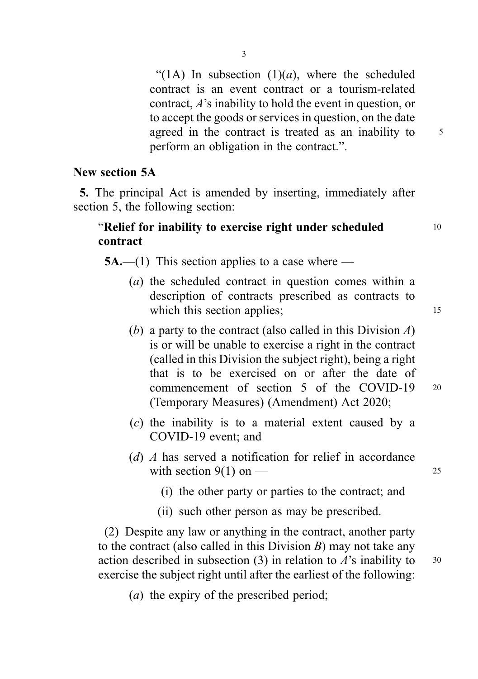"(1A) In subsection  $(1)(a)$ , where the scheduled contract is an event contract or a tourism-related contract, A's inability to hold the event in question, or to accept the goods or services in question, on the date agreed in the contract is treated as an inability to  $5$ perform an obligation in the contract.".

# New section 5A

5. The principal Act is amended by inserting, immediately after section 5, the following section:

# "Relief for inability to exercise right under scheduled <sup>10</sup> contract

 $5A$ ,—(1) This section applies to a case where —

- (a) the scheduled contract in question comes within a description of contracts prescribed as contracts to which this section applies; 15
- (b) a party to the contract (also called in this Division  $A$ ) is or will be unable to exercise a right in the contract (called in this Division the subject right), being a right that is to be exercised on or after the date of commencement of section 5 of the COVID-19 <sup>20</sup> (Temporary Measures) (Amendment) Act 2020;
- (c) the inability is to a material extent caused by a COVID-19 event; and
- (d) A has served a notification for relief in accordance with section  $9(1)$  on — 25
	- (i) the other party or parties to the contract; and
	- (ii) such other person as may be prescribed.

(2) Despite any law or anything in the contract, another party to the contract (also called in this Division  $B$ ) may not take any action described in subsection (3) in relation to  $A$ 's inability to  $30$ exercise the subject right until after the earliest of the following:

(a) the expiry of the prescribed period;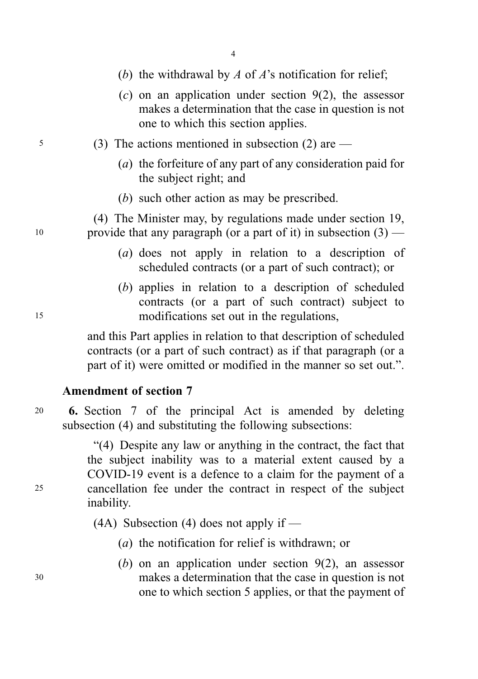- (b) the withdrawal by A of A's notification for relief;
- $(c)$  on an application under section  $9(2)$ , the assessor makes a determination that the case in question is not one to which this section applies.
- <sup>5</sup> (3) The actions mentioned in subsection (2) are
	- (a) the forfeiture of any part of any consideration paid for the subject right; and
	- (b) such other action as may be prescribed.

(4) The Minister may, by regulations made under section 19, 10 provide that any paragraph (or a part of it) in subsection  $(3)$  —

- (a) does not apply in relation to a description of scheduled contracts (or a part of such contract); or
- (b) applies in relation to a description of scheduled contracts (or a part of such contract) subject to <sup>15</sup> modifications set out in the regulations,

and this Part applies in relation to that description of scheduled contracts (or a part of such contract) as if that paragraph (or a part of it) were omitted or modified in the manner so set out.".

# Amendment of section 7

<sup>20</sup> 6. Section 7 of the principal Act is amended by deleting subsection (4) and substituting the following subsections:

"(4) Despite any law or anything in the contract, the fact that the subject inability was to a material extent caused by a COVID-19 event is a defence to a claim for the payment of a <sup>25</sup> cancellation fee under the contract in respect of the subject inability.

(4A) Subsection (4) does not apply if  $-$ 

- (a) the notification for relief is withdrawn; or
- (b) on an application under section  $9(2)$ , an assessor <sup>30</sup> makes a determination that the case in question is not one to which section 5 applies, or that the payment of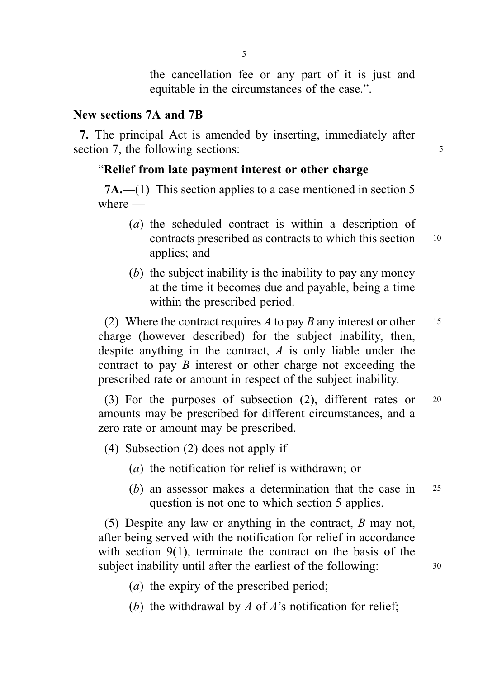the cancellation fee or any part of it is just and equitable in the circumstances of the case.".

# New sections 7A and 7B

7. The principal Act is amended by inserting, immediately after section 7, the following sections: 5

# "Relief from late payment interest or other charge

7A.—(1) This section applies to a case mentioned in section 5 where —

- (a) the scheduled contract is within a description of contracts prescribed as contracts to which this section <sup>10</sup> applies; and
- $(b)$  the subject inability is the inability to pay any money at the time it becomes due and payable, being a time within the prescribed period.

(2) Where the contract requires A to pay B any interest or other 15 charge (however described) for the subject inability, then, despite anything in the contract, A is only liable under the contract to pay B interest or other charge not exceeding the prescribed rate or amount in respect of the subject inability.

(3) For the purposes of subsection (2), different rates or <sup>20</sup> amounts may be prescribed for different circumstances, and a zero rate or amount may be prescribed.

- (4) Subsection (2) does not apply if
	- (a) the notification for relief is withdrawn; or
	- (b) an assessor makes a determination that the case in 25 question is not one to which section 5 applies.

(5) Despite any law or anything in the contract, B may not, after being served with the notification for relief in accordance with section 9(1), terminate the contract on the basis of the subject inability until after the earliest of the following: 30

- (a) the expiry of the prescribed period;
- (b) the withdrawal by  $A$  of  $A$ 's notification for relief;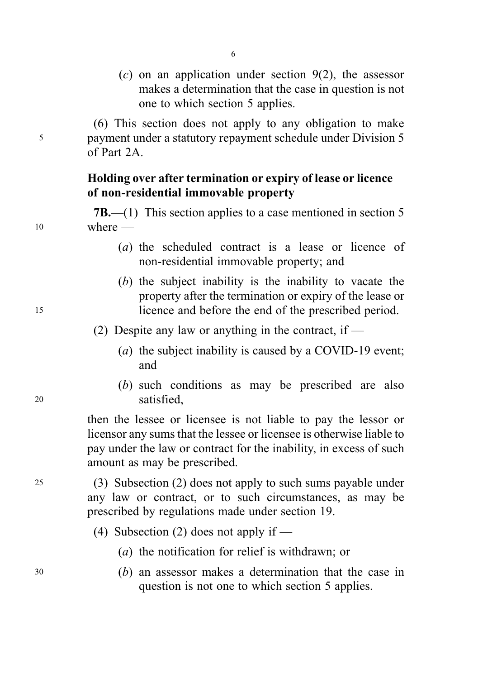$(c)$  on an application under section  $9(2)$ , the assessor makes a determination that the case in question is not one to which section 5 applies.

(6) This section does not apply to any obligation to make <sup>5</sup> payment under a statutory repayment schedule under Division 5 of Part  $2A$ 

6

# Holding over after termination or expiry of lease or licence of non-residential immovable property

7B.—(1) This section applies to a case mentioned in section 5 <sup>10</sup> where —

- (a) the scheduled contract is a lease or licence of non-residential immovable property; and
- (b) the subject inability is the inability to vacate the property after the termination or expiry of the lease or <sup>15</sup> licence and before the end of the prescribed period.

(2) Despite any law or anything in the contract, if —

- (a) the subject inability is caused by a COVID-19 event; and
- (b) such conditions as may be prescribed are also <sup>20</sup> satisfied,

then the lessee or licensee is not liable to pay the lessor or licensor any sums that the lessee or licensee is otherwise liable to pay under the law or contract for the inability, in excess of such amount as may be prescribed.

<sup>25</sup> (3) Subsection (2) does not apply to such sums payable under any law or contract, or to such circumstances, as may be prescribed by regulations made under section 19.

- (4) Subsection (2) does not apply if
	- (a) the notification for relief is withdrawn; or
- <sup>30</sup> (b) an assessor makes a determination that the case in question is not one to which section 5 applies.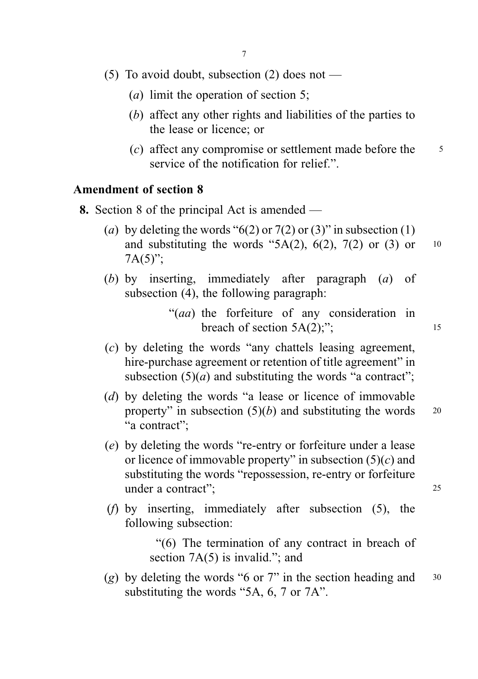- (5) To avoid doubt, subsection (2) does not
	- (a) limit the operation of section 5;
	- (b) affect any other rights and liabilities of the parties to the lease or licence; or
	- (c) affect any compromise or settlement made before the  $\frac{5}{5}$ service of the notification for relief.".

# Amendment of section 8

- 8. Section 8 of the principal Act is amended
	- (a) by deleting the words " $6(2)$  or  $7(2)$  or  $(3)$ " in subsection  $(1)$ and substituting the words "5A(2),  $6(2)$ ,  $7(2)$  or (3) or 10  $7A(5)$ ";
	- (b) by inserting, immediately after paragraph (a) of subsection (4), the following paragraph:

"(aa) the forfeiture of any consideration in breach of section  $5A(2)$ ;"; 15

- (c) by deleting the words "any chattels leasing agreement, hire-purchase agreement or retention of title agreement" in subsection  $(5)(a)$  and substituting the words "a contract";
- (d) by deleting the words "a lease or licence of immovable property" in subsection  $(5)(b)$  and substituting the words  $20$ "a contract":
- (e) by deleting the words "re-entry or forfeiture under a lease or licence of immovable property" in subsection  $(5)(c)$  and substituting the words "repossession, re-entry or forfeiture under a contract": 25
- (f) by inserting, immediately after subsection (5), the following subsection:

"(6) The termination of any contract in breach of section 7A(5) is invalid."; and

(g) by deleting the words "6 or 7" in the section heading and  $30$ substituting the words "5A, 6, 7 or 7A".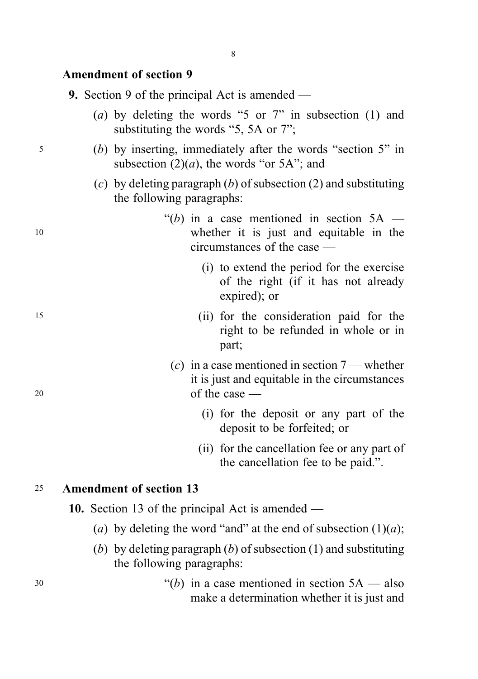### Amendment of section 9

| 9. Section 9 of the principal Act is amended – |  |
|------------------------------------------------|--|
|------------------------------------------------|--|

- (a) by deleting the words "5 or 7" in subsection (1) and substituting the words "5, 5A or 7":
- <sup>5</sup> (b) by inserting, immediately after the words "section 5" in subsection  $(2)(a)$ , the words "or 5A"; and
	- (c) by deleting paragraph  $(b)$  of subsection  $(2)$  and substituting the following paragraphs:
- "(b) in a case mentioned in section  $5A$  <sup>10</sup> whether it is just and equitable in the circumstances of the case —
	- (i) to extend the period for the exercise of the right (if it has not already expired); or
- <sup>15</sup> (ii) for the consideration paid for the right to be refunded in whole or in part;
- (c) in a case mentioned in section  $7$  whether it is just and equitable in the circumstances <sup>20</sup> of the case —
	- (i) for the deposit or any part of the deposit to be forfeited; or
	- (ii) for the cancellation fee or any part of the cancellation fee to be paid.".

### <sup>25</sup> Amendment of section 13

10. Section 13 of the principal Act is amended —

- (a) by deleting the word "and" at the end of subsection  $(1)(a)$ ;
- (b) by deleting paragraph  $(b)$  of subsection  $(1)$  and substituting the following paragraphs:
- $30$  "(b) in a case mentioned in section  $5A$  also make a determination whether it is just and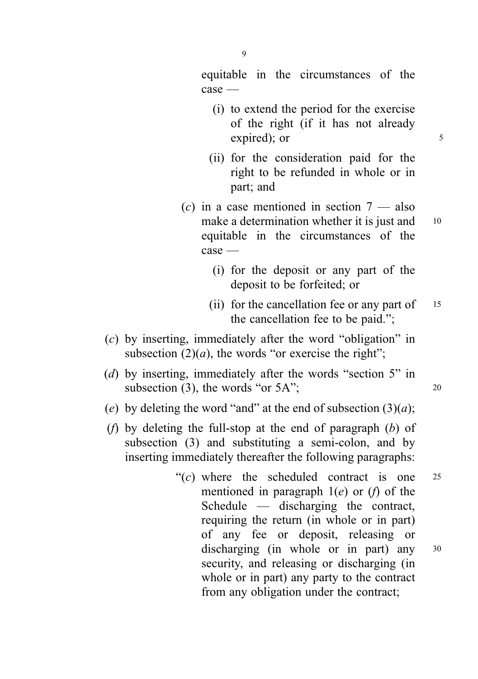equitable in the circumstances of the case —

- (i) to extend the period for the exercise of the right (if it has not already expired); or 5
- (ii) for the consideration paid for the right to be refunded in whole or in part; and
- (c) in a case mentioned in section  $7$  also make a determination whether it is just and <sup>10</sup> equitable in the circumstances of the case —
	- (i) for the deposit or any part of the deposit to be forfeited; or
	- (ii) for the cancellation fee or any part of  $15$ the cancellation fee to be paid.";
- (c) by inserting, immediately after the word "obligation" in subsection  $(2)(a)$ , the words "or exercise the right";
- (d) by inserting, immediately after the words "section 5" in subsection (3), the words "or  $5A$ "; 20
- (e) by deleting the word "and" at the end of subsection  $(3)(a)$ ;
- (f) by deleting the full-stop at the end of paragraph  $(b)$  of subsection (3) and substituting a semi-colon, and by inserting immediately thereafter the following paragraphs:
	- " $(c)$  where the scheduled contract is one 25 mentioned in paragraph  $1(e)$  or  $(f)$  of the Schedule — discharging the contract, requiring the return (in whole or in part) of any fee or deposit, releasing or discharging (in whole or in part) any  $30$ security, and releasing or discharging (in whole or in part) any party to the contract from any obligation under the contract;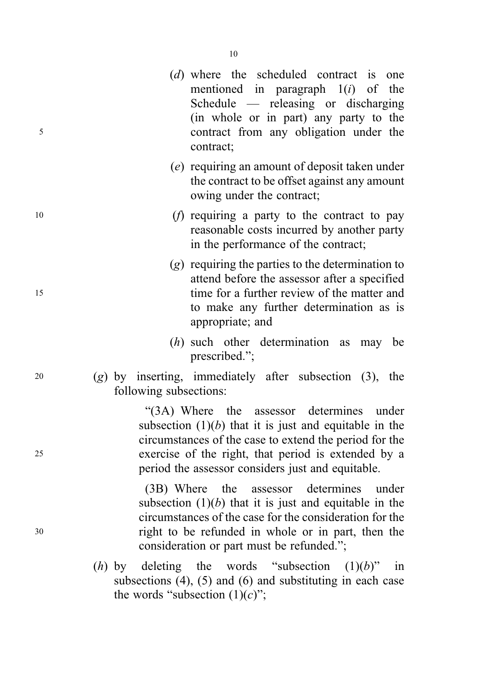- (d) where the scheduled contract is one mentioned in paragraph  $1(i)$  of the Schedule — releasing or discharging (in whole or in part) any party to the <sup>5</sup> contract from any obligation under the contract;
	- (e) requiring an amount of deposit taken under the contract to be offset against any amount owing under the contract;
- $10$  (f) requiring a party to the contract to pay reasonable costs incurred by another party in the performance of the contract;
- (g) requiring the parties to the determination to attend before the assessor after a specified <sup>15</sup> time for a further review of the matter and to make any further determination as is appropriate; and
	- (*h*) such other determination as may be prescribed.";
- 20 (g) by inserting, immediately after subsection  $(3)$ , the following subsections:

"(3A) Where the assessor determines under subsection  $(1)(b)$  that it is just and equitable in the circumstances of the case to extend the period for the <sup>25</sup> exercise of the right, that period is extended by a period the assessor considers just and equitable.

(3B) Where the assessor determines under subsection  $(1)(b)$  that it is just and equitable in the circumstances of the case for the consideration for the <sup>30</sup> right to be refunded in whole or in part, then the consideration or part must be refunded.";

> (h) by deleting the words "subsection  $(1)(b)$ " in subsections  $(4)$ ,  $(5)$  and  $(6)$  and substituting in each case the words "subsection  $(1)(c)$ ";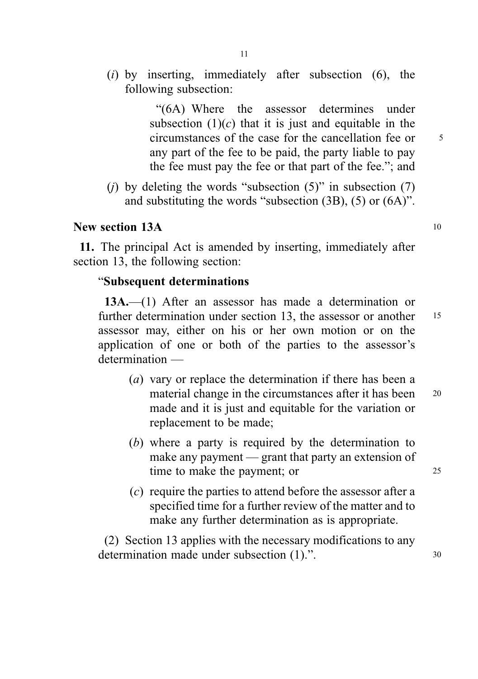$(i)$  by inserting, immediately after subsection  $(6)$ , the following subsection:

> "(6A) Where the assessor determines under subsection  $(1)(c)$  that it is just and equitable in the circumstances of the case for the cancellation fee or  $5<sup>5</sup>$ any part of the fee to be paid, the party liable to pay the fee must pay the fee or that part of the fee."; and

(i) by deleting the words "subsection  $(5)$ " in subsection  $(7)$ and substituting the words "subsection (3B), (5) or (6A)".

# New section 13A 10

11. The principal Act is amended by inserting, immediately after section 13, the following section:

### "Subsequent determinations

13A.—(1) After an assessor has made a determination or further determination under section 13, the assessor or another 15 assessor may, either on his or her own motion or on the application of one or both of the parties to the assessor's determination —

- (a) vary or replace the determination if there has been a material change in the circumstances after it has been 20 made and it is just and equitable for the variation or replacement to be made;
- (b) where a party is required by the determination to make any payment — grant that party an extension of time to make the payment; or 25
- (c) require the parties to attend before the assessor after a specified time for a further review of the matter and to make any further determination as is appropriate.

(2) Section 13 applies with the necessary modifications to any determination made under subsection (1).". 30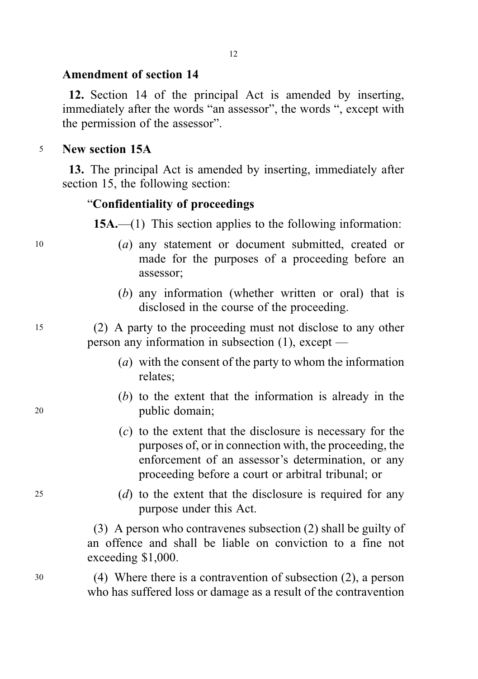# Amendment of section 14

12. Section 14 of the principal Act is amended by inserting, immediately after the words "an assessor", the words ", except with the permission of the assessor".

### <sup>5</sup> New section 15A

13. The principal Act is amended by inserting, immediately after section 15, the following section:

#### "Confidentiality of proceedings

15A.—(1) This section applies to the following information:

- <sup>10</sup> (a) any statement or document submitted, created or made for the purposes of a proceeding before an assessor;
	- (b) any information (whether written or oral) that is disclosed in the course of the proceeding.

<sup>15</sup> (2) A party to the proceeding must not disclose to any other person any information in subsection (1), except —

- (a) with the consent of the party to whom the information relates;
- (b) to the extent that the information is already in the <sup>20</sup> public domain;
	- (c) to the extent that the disclosure is necessary for the purposes of, or in connection with, the proceeding, the enforcement of an assessor's determination, or any proceeding before a court or arbitral tribunal; or
- <sup>25</sup> (d) to the extent that the disclosure is required for any purpose under this Act.

(3) A person who contravenes subsection (2) shall be guilty of an offence and shall be liable on conviction to a fine not exceeding \$1,000.

<sup>30</sup> (4) Where there is a contravention of subsection (2), a person who has suffered loss or damage as a result of the contravention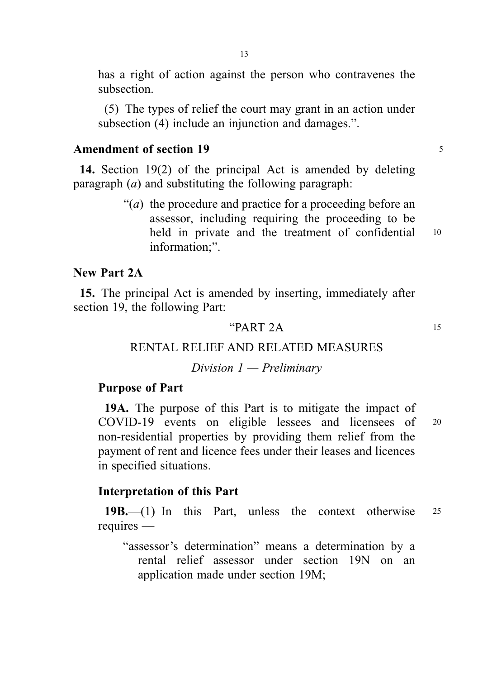has a right of action against the person who contravenes the subsection.

(5) The types of relief the court may grant in an action under subsection (4) include an injunction and damages.".

## Amendment of section 19 <sup>5</sup>

14. Section 19(2) of the principal Act is amended by deleting paragraph  $(a)$  and substituting the following paragraph:

> $\lq( a )$  the procedure and practice for a proceeding before an assessor, including requiring the proceeding to be held in private and the treatment of confidential 10 information;".

### New Part 2A

15. The principal Act is amended by inserting, immediately after section 19, the following Part:

### " $PART 2A$  15

### RENTAL RELIEF AND RELATED MEASURES

### Division 1 — Preliminary

#### Purpose of Part

19A. The purpose of this Part is to mitigate the impact of COVID-19 events on eligible lessees and licensees of <sup>20</sup> non-residential properties by providing them relief from the payment of rent and licence fees under their leases and licences in specified situations.

#### Interpretation of this Part

19B.—(1) In this Part, unless the context otherwise <sup>25</sup> requires —

"assessor's determination" means a determination by a rental relief assessor under section 19N on an application made under section 19M;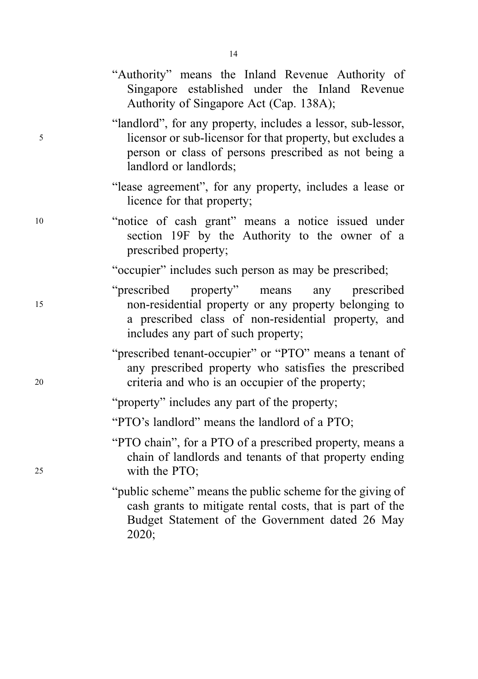|    | "Authority" means the Inland Revenue Authority of<br>Singapore established under the Inland Revenue<br>Authority of Singapore Act (Cap. 138A);                                                                 |
|----|----------------------------------------------------------------------------------------------------------------------------------------------------------------------------------------------------------------|
| 5  | "landlord", for any property, includes a lessor, sub-lessor,<br>licensor or sub-licensor for that property, but excludes a<br>person or class of persons prescribed as not being a<br>landlord or landlords;   |
|    | "lease agreement", for any property, includes a lease or<br>licence for that property;                                                                                                                         |
| 10 | "notice of cash grant" means a notice issued under<br>section 19F by the Authority to the owner of a<br>prescribed property;                                                                                   |
|    | "occupier" includes such person as may be prescribed;                                                                                                                                                          |
| 15 | "prescribed"<br>property"<br>means<br>any<br>prescribed<br>non-residential property or any property belonging to<br>a prescribed class of non-residential property, and<br>includes any part of such property; |
| 20 | "prescribed tenant-occupier" or "PTO" means a tenant of<br>any prescribed property who satisfies the prescribed<br>criteria and who is an occupier of the property;                                            |
|    | "property" includes any part of the property;                                                                                                                                                                  |
|    | "PTO's landlord" means the landlord of a PTO;                                                                                                                                                                  |
| 25 | "PTO chain", for a PTO of a prescribed property, means a<br>chain of landlords and tenants of that property ending<br>with the PTO;                                                                            |
|    | "public scheme" means the public scheme for the giving of<br>cash grants to mitigate rental costs, that is part of the<br>Budget Statement of the Government dated 26 May<br>2020;                             |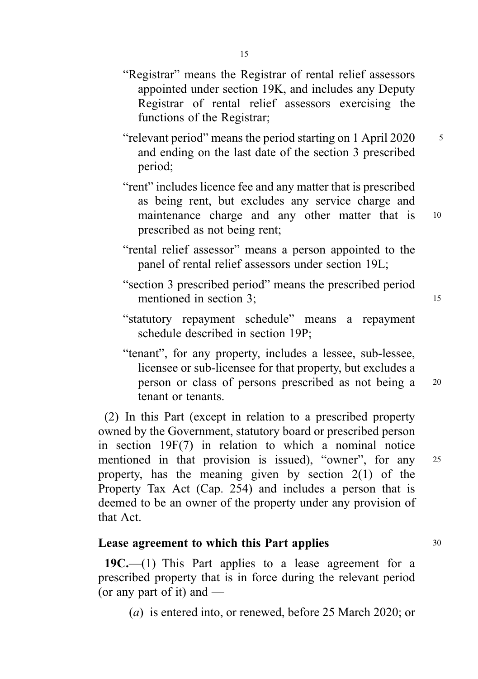- "Registrar" means the Registrar of rental relief assessors appointed under section 19K, and includes any Deputy Registrar of rental relief assessors exercising the functions of the Registrar;
- "relevant period" means the period starting on 1 April 2020 5 and ending on the last date of the section 3 prescribed period;
- "rent" includes licence fee and any matter that is prescribed as being rent, but excludes any service charge and maintenance charge and any other matter that is 10 prescribed as not being rent;
- "rental relief assessor" means a person appointed to the panel of rental relief assessors under section 19L;
- "section 3 prescribed period" means the prescribed period mentioned in section 3; 15
- "statutory repayment schedule" means a repayment schedule described in section 19P;
- "tenant", for any property, includes a lessee, sub-lessee, licensee or sub-licensee for that property, but excludes a person or class of persons prescribed as not being a <sup>20</sup> tenant or tenants.

(2) In this Part (except in relation to a prescribed property owned by the Government, statutory board or prescribed person in section 19F(7) in relation to which a nominal notice mentioned in that provision is issued), "owner", for any 25 property, has the meaning given by section 2(1) of the Property Tax Act (Cap. 254) and includes a person that is deemed to be an owner of the property under any provision of that Act.

## Lease agreement to which this Part applies 30

19C.— $(1)$  This Part applies to a lease agreement for a prescribed property that is in force during the relevant period (or any part of it) and —

(a) is entered into, or renewed, before 25 March 2020; or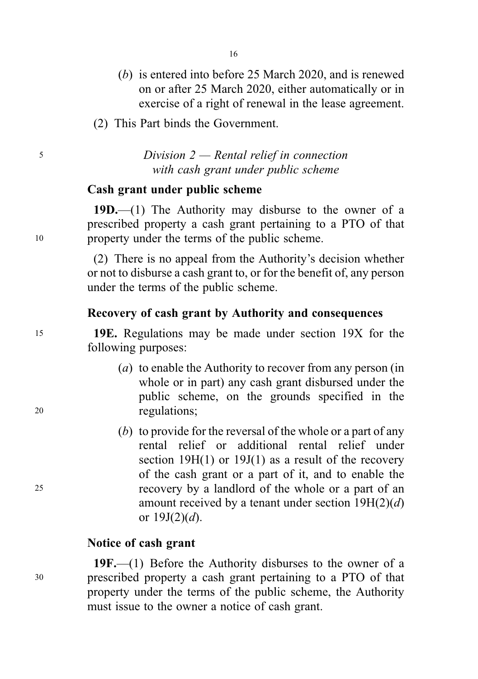- (b) is entered into before 25 March 2020, and is renewed on or after 25 March 2020, either automatically or in exercise of a right of renewal in the lease agreement.
- (2) This Part binds the Government.

<sup>5</sup> Division 2 — Rental relief in connection with cash grant under public scheme

# Cash grant under public scheme

19D.— $(1)$  The Authority may disburse to the owner of a prescribed property a cash grant pertaining to a PTO of that <sup>10</sup> property under the terms of the public scheme.

> (2) There is no appeal from the Authority's decision whether or not to disburse a cash grant to, or for the benefit of, any person under the terms of the public scheme.

### Recovery of cash grant by Authority and consequences

<sup>15</sup> 19E. Regulations may be made under section 19X for the following purposes:

- (a) to enable the Authority to recover from any person (in whole or in part) any cash grant disbursed under the public scheme, on the grounds specified in the <sup>20</sup> regulations;
- (b) to provide for the reversal of the whole or a part of any rental relief or additional rental relief under section  $19H(1)$  or  $19J(1)$  as a result of the recovery of the cash grant or a part of it, and to enable the <sup>25</sup> recovery by a landlord of the whole or a part of an amount received by a tenant under section  $19H(2)(d)$ or  $19J(2)(d)$ .

### Notice of cash grant

19F.—(1) Before the Authority disburses to the owner of a <sup>30</sup> prescribed property a cash grant pertaining to a PTO of that property under the terms of the public scheme, the Authority must issue to the owner a notice of cash grant.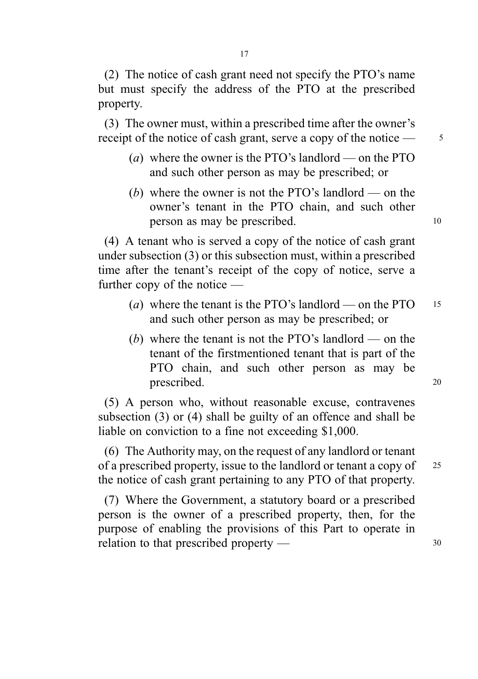(2) The notice of cash grant need not specify the PTO's name but must specify the address of the PTO at the prescribed property.

(3) The owner must, within a prescribed time after the owner's receipt of the notice of cash grant, serve a copy of the notice — 5

- (a) where the owner is the PTO's landlord on the PTO and such other person as may be prescribed; or
- (b) where the owner is not the PTO's landlord on the owner's tenant in the PTO chain, and such other person as may be prescribed. 10

(4) A tenant who is served a copy of the notice of cash grant under subsection (3) or this subsection must, within a prescribed time after the tenant's receipt of the copy of notice, serve a further copy of the notice —

- (a) where the tenant is the PTO's landlord on the PTO  $15$ and such other person as may be prescribed; or
- (b) where the tenant is not the PTO's landlord on the tenant of the firstmentioned tenant that is part of the PTO chain, and such other person as may be prescribed. 20

(5) A person who, without reasonable excuse, contravenes subsection (3) or (4) shall be guilty of an offence and shall be liable on conviction to a fine not exceeding \$1,000.

(6) The Authority may, on the request of any landlord or tenant of a prescribed property, issue to the landlord or tenant a copy of 25 the notice of cash grant pertaining to any PTO of that property.

(7) Where the Government, a statutory board or a prescribed person is the owner of a prescribed property, then, for the purpose of enabling the provisions of this Part to operate in relation to that prescribed property — 30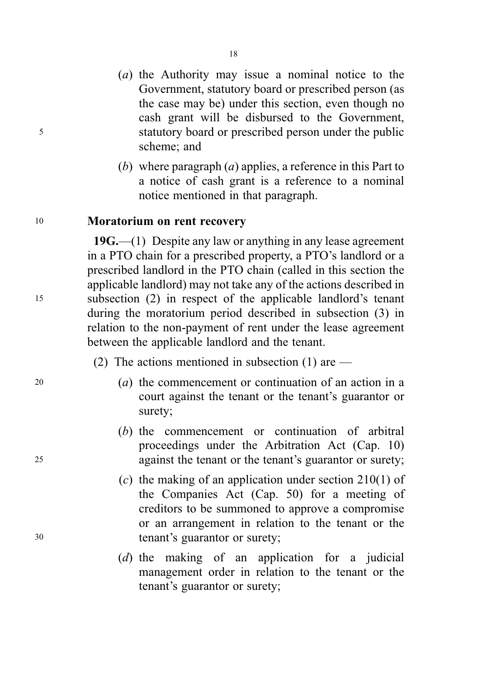- (a) the Authority may issue a nominal notice to the Government, statutory board or prescribed person (as the case may be) under this section, even though no cash grant will be disbursed to the Government, <sup>5</sup> statutory board or prescribed person under the public scheme; and
	- (b) where paragraph  $(a)$  applies, a reference in this Part to a notice of cash grant is a reference to a nominal notice mentioned in that paragraph.

#### <sup>10</sup> Moratorium on rent recovery

 $19G - (1)$  Despite any law or anything in any lease agreement in a PTO chain for a prescribed property, a PTO's landlord or a prescribed landlord in the PTO chain (called in this section the applicable landlord) may not take any of the actions described in <sup>15</sup> subsection (2) in respect of the applicable landlord's tenant during the moratorium period described in subsection (3) in relation to the non-payment of rent under the lease agreement between the applicable landlord and the tenant.

- (2) The actions mentioned in subsection (1) are —
- <sup>20</sup> (a) the commencement or continuation of an action in a court against the tenant or the tenant's guarantor or surety;
- (b) the commencement or continuation of arbitral proceedings under the Arbitration Act (Cap. 10) <sup>25</sup> against the tenant or the tenant's guarantor or surety;
- (c) the making of an application under section 210(1) of the Companies Act (Cap. 50) for a meeting of creditors to be summoned to approve a compromise or an arrangement in relation to the tenant or the <sup>30</sup> tenant's guarantor or surety;
	- (d) the making of an application for a judicial management order in relation to the tenant or the tenant's guarantor or surety;

18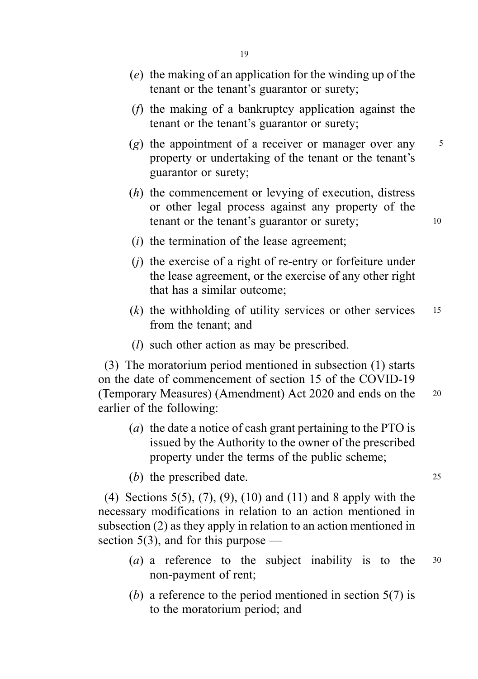- (e) the making of an application for the winding up of the tenant or the tenant's guarantor or surety;
- (f) the making of a bankruptcy application against the tenant or the tenant's guarantor or surety;
- (g) the appointment of a receiver or manager over any  $\frac{5}{5}$ property or undertaking of the tenant or the tenant's guarantor or surety;
- (h) the commencement or levying of execution, distress or other legal process against any property of the tenant or the tenant's guarantor or surety; 10
- $(i)$  the termination of the lease agreement;
- $(i)$  the exercise of a right of re-entry or forfeiture under the lease agreement, or the exercise of any other right that has a similar outcome;
- $(k)$  the withholding of utility services or other services 15 from the tenant; and
- (l) such other action as may be prescribed.

(3) The moratorium period mentioned in subsection (1) starts on the date of commencement of section 15 of the COVID-19 (Temporary Measures) (Amendment) Act 2020 and ends on the <sup>20</sup> earlier of the following:

- (a) the date a notice of cash grant pertaining to the PTO is issued by the Authority to the owner of the prescribed property under the terms of the public scheme;
- (b) the prescribed date. 25

(4) Sections 5(5), (7), (9), (10) and (11) and 8 apply with the necessary modifications in relation to an action mentioned in subsection (2) as they apply in relation to an action mentioned in section 5(3), and for this purpose —

- (a) a reference to the subject inability is to the  $30$ non-payment of rent;
- (b) a reference to the period mentioned in section  $5(7)$  is to the moratorium period; and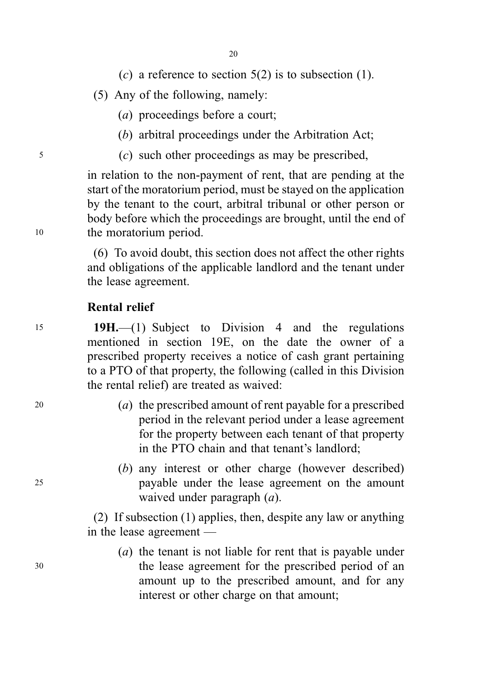- (c) a reference to section  $5(2)$  is to subsection (1).
- (5) Any of the following, namely:
	- (a) proceedings before a court;
	- (b) arbitral proceedings under the Arbitration Act;
- <sup>5</sup> (c) such other proceedings as may be prescribed,

in relation to the non-payment of rent, that are pending at the start of the moratorium period, must be stayed on the application by the tenant to the court, arbitral tribunal or other person or body before which the proceedings are brought, until the end of <sup>10</sup> the moratorium period.

> (6) To avoid doubt, this section does not affect the other rights and obligations of the applicable landlord and the tenant under the lease agreement.

### Rental relief

<sup>15</sup> 19H.—(1) Subject to Division 4 and the regulations mentioned in section 19E, on the date the owner of a prescribed property receives a notice of cash grant pertaining to a PTO of that property, the following (called in this Division the rental relief) are treated as waived:

- <sup>20</sup> (a) the prescribed amount of rent payable for a prescribed period in the relevant period under a lease agreement for the property between each tenant of that property in the PTO chain and that tenant's landlord;
- (b) any interest or other charge (however described) <sup>25</sup> payable under the lease agreement on the amount waived under paragraph  $(a)$ .

(2) If subsection (1) applies, then, despite any law or anything in the lease agreement —

(a) the tenant is not liable for rent that is payable under <sup>30</sup> the lease agreement for the prescribed period of an amount up to the prescribed amount, and for any interest or other charge on that amount;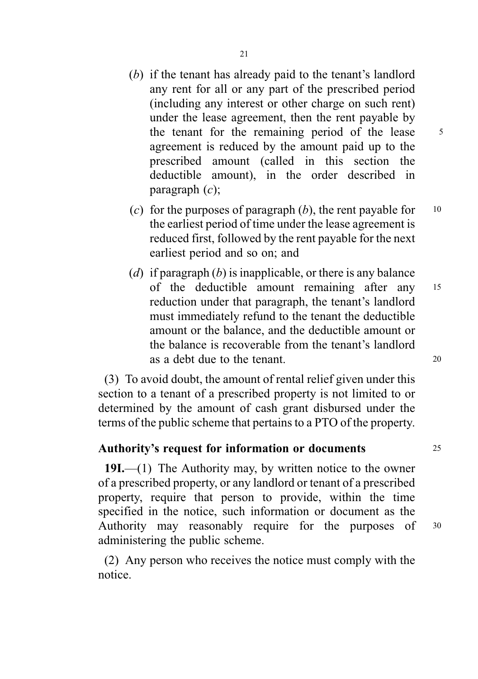- (b) if the tenant has already paid to the tenant's landlord any rent for all or any part of the prescribed period (including any interest or other charge on such rent) under the lease agreement, then the rent payable by the tenant for the remaining period of the lease  $5$ agreement is reduced by the amount paid up to the prescribed amount (called in this section the deductible amount), in the order described in paragraph  $(c)$ ;
- (c) for the purposes of paragraph  $(b)$ , the rent payable for  $10$ the earliest period of time under the lease agreement is reduced first, followed by the rent payable for the next earliest period and so on; and
- (d) if paragraph (b) is inapplicable, or there is any balance of the deductible amount remaining after any <sup>15</sup> reduction under that paragraph, the tenant's landlord must immediately refund to the tenant the deductible amount or the balance, and the deductible amount or the balance is recoverable from the tenant's landlord as a debt due to the tenant. 20

(3) To avoid doubt, the amount of rental relief given under this section to a tenant of a prescribed property is not limited to or determined by the amount of cash grant disbursed under the terms of the public scheme that pertains to a PTO of the property.

# Authority's request for information or documents 25

19I.—(1) The Authority may, by written notice to the owner of a prescribed property, or any landlord or tenant of a prescribed property, require that person to provide, within the time specified in the notice, such information or document as the Authority may reasonably require for the purposes of <sup>30</sup> administering the public scheme.

(2) Any person who receives the notice must comply with the notice.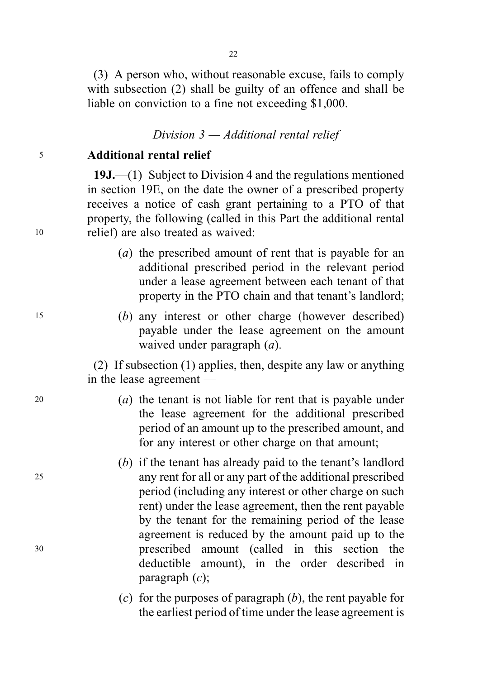(3) A person who, without reasonable excuse, fails to comply with subsection (2) shall be guilty of an offence and shall be liable on conviction to a fine not exceeding \$1,000.

Division 3 — Additional rental relief

# <sup>5</sup> Additional rental relief

19J.—(1) Subject to Division 4 and the regulations mentioned in section 19E, on the date the owner of a prescribed property receives a notice of cash grant pertaining to a PTO of that property, the following (called in this Part the additional rental <sup>10</sup> relief) are also treated as waived:

- (a) the prescribed amount of rent that is payable for an additional prescribed period in the relevant period under a lease agreement between each tenant of that property in the PTO chain and that tenant's landlord;
- <sup>15</sup> (b) any interest or other charge (however described) payable under the lease agreement on the amount waived under paragraph (*a*).

(2) If subsection (1) applies, then, despite any law or anything in the lease agreement —

- <sup>20</sup> (a) the tenant is not liable for rent that is payable under the lease agreement for the additional prescribed period of an amount up to the prescribed amount, and for any interest or other charge on that amount;
- (b) if the tenant has already paid to the tenant's landlord <sup>25</sup> any rent for all or any part of the additional prescribed period (including any interest or other charge on such rent) under the lease agreement, then the rent payable by the tenant for the remaining period of the lease agreement is reduced by the amount paid up to the <sup>30</sup> prescribed amount (called in this section the deductible amount), in the order described in paragraph  $(c)$ ;
	- (c) for the purposes of paragraph  $(b)$ , the rent payable for the earliest period of time under the lease agreement is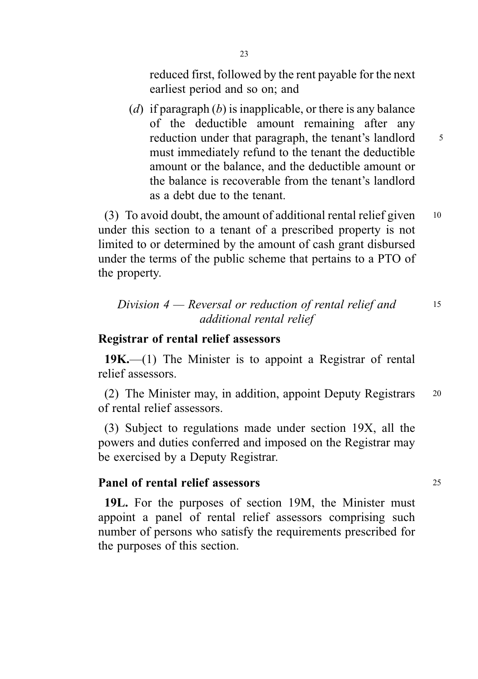reduced first, followed by the rent payable for the next earliest period and so on; and

(d) if paragraph  $(b)$  is inapplicable, or there is any balance of the deductible amount remaining after any reduction under that paragraph, the tenant's landlord 5 must immediately refund to the tenant the deductible amount or the balance, and the deductible amount or the balance is recoverable from the tenant's landlord as a debt due to the tenant.

(3) To avoid doubt, the amount of additional rental relief given  $10$ under this section to a tenant of a prescribed property is not limited to or determined by the amount of cash grant disbursed under the terms of the public scheme that pertains to a PTO of the property.

# Division  $4$  — Reversal or reduction of rental relief and 15 additional rental relief

### Registrar of rental relief assessors

 $19K$ —(1) The Minister is to appoint a Registrar of rental relief assessors.

(2) The Minister may, in addition, appoint Deputy Registrars <sup>20</sup> of rental relief assessors.

(3) Subject to regulations made under section 19X, all the powers and duties conferred and imposed on the Registrar may be exercised by a Deputy Registrar.

### Panel of rental relief assessors 25

19L. For the purposes of section 19M, the Minister must appoint a panel of rental relief assessors comprising such number of persons who satisfy the requirements prescribed for the purposes of this section.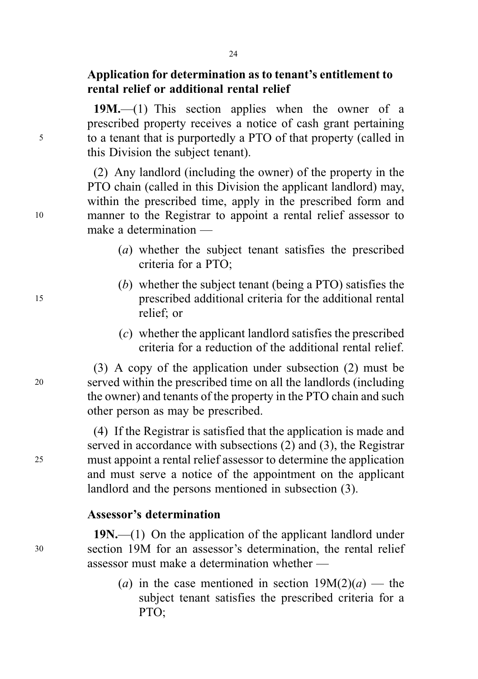19M.—(1) This section applies when the owner of a prescribed property receives a notice of cash grant pertaining <sup>5</sup> to a tenant that is purportedly a PTO of that property (called in this Division the subject tenant).

(2) Any landlord (including the owner) of the property in the PTO chain (called in this Division the applicant landlord) may, within the prescribed time, apply in the prescribed form and <sup>10</sup> manner to the Registrar to appoint a rental relief assessor to make a determination —

- (a) whether the subject tenant satisfies the prescribed criteria for a PTO;
- (b) whether the subject tenant (being a PTO) satisfies the <sup>15</sup> prescribed additional criteria for the additional rental relief; or
	- (c) whether the applicant landlord satisfies the prescribed criteria for a reduction of the additional rental relief.

(3) A copy of the application under subsection (2) must be <sup>20</sup> served within the prescribed time on all the landlords (including the owner) and tenants of the property in the PTO chain and such other person as may be prescribed.

(4) If the Registrar is satisfied that the application is made and served in accordance with subsections (2) and (3), the Registrar <sup>25</sup> must appoint a rental relief assessor to determine the application and must serve a notice of the appointment on the applicant landlord and the persons mentioned in subsection (3).

# Assessor's determination

19N.—(1) On the application of the applicant landlord under <sup>30</sup> section 19M for an assessor's determination, the rental relief assessor must make a determination whether —

> (a) in the case mentioned in section  $19M(2)(a)$  — the subject tenant satisfies the prescribed criteria for a PTO;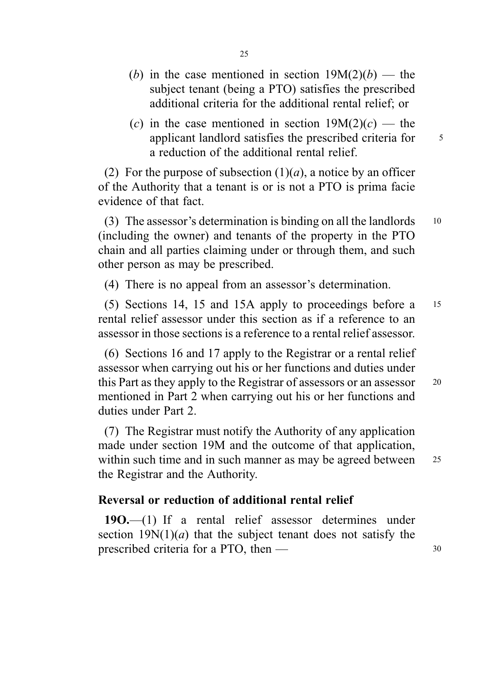- (b) in the case mentioned in section  $19M(2)(b)$  the subject tenant (being a PTO) satisfies the prescribed additional criteria for the additional rental relief; or
- (c) in the case mentioned in section  $19M(2)(c)$  the applicant landlord satisfies the prescribed criteria for  $\frac{5}{5}$ a reduction of the additional rental relief.

(2) For the purpose of subsection  $(1)(a)$ , a notice by an officer of the Authority that a tenant is or is not a PTO is prima facie evidence of that fact.

(3) The assessor's determination is binding on all the landlords 10 (including the owner) and tenants of the property in the PTO chain and all parties claiming under or through them, and such other person as may be prescribed.

(4) There is no appeal from an assessor's determination.

(5) Sections 14, 15 and 15A apply to proceedings before a <sup>15</sup> rental relief assessor under this section as if a reference to an assessor in those sections is a reference to a rental relief assessor.

(6) Sections 16 and 17 apply to the Registrar or a rental relief assessor when carrying out his or her functions and duties under this Part as they apply to the Registrar of assessors or an assessor <sup>20</sup> mentioned in Part 2 when carrying out his or her functions and duties under Part 2.

(7) The Registrar must notify the Authority of any application made under section 19M and the outcome of that application, within such time and in such manner as may be agreed between 25 the Registrar and the Authority.

# Reversal or reduction of additional rental relief

19O.—(1) If a rental relief assessor determines under section  $19N(1)(a)$  that the subject tenant does not satisfy the prescribed criteria for a PTO, then — 30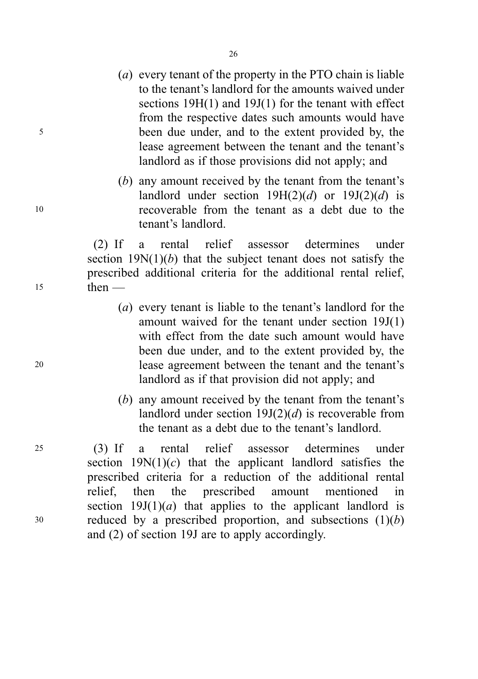- (a) every tenant of the property in the PTO chain is liable to the tenant's landlord for the amounts waived under sections 19H(1) and 19J(1) for the tenant with effect from the respective dates such amounts would have <sup>5</sup> been due under, and to the extent provided by, the lease agreement between the tenant and the tenant's landlord as if those provisions did not apply; and
- (b) any amount received by the tenant from the tenant's landlord under section  $19H(2)(d)$  or  $19J(2)(d)$  is <sup>10</sup> recoverable from the tenant as a debt due to the tenant's landlord.

(2) If a rental relief assessor determines under section  $19N(1)(b)$  that the subject tenant does not satisfy the prescribed additional criteria for the additional rental relief, <sup>15</sup> then —

- (a) every tenant is liable to the tenant's landlord for the amount waived for the tenant under section 19J(1) with effect from the date such amount would have been due under, and to the extent provided by, the <sup>20</sup> lease agreement between the tenant and the tenant's landlord as if that provision did not apply; and
	- (b) any amount received by the tenant from the tenant's landlord under section  $19J(2)(d)$  is recoverable from the tenant as a debt due to the tenant's landlord.

<sup>25</sup> (3) If a rental relief assessor determines under section  $19N(1)(c)$  that the applicant landlord satisfies the prescribed criteria for a reduction of the additional rental relief, then the prescribed amount mentioned in section  $19J(1)(a)$  that applies to the applicant landlord is  $30$  reduced by a prescribed proportion, and subsections  $(1)(b)$ and (2) of section 19J are to apply accordingly.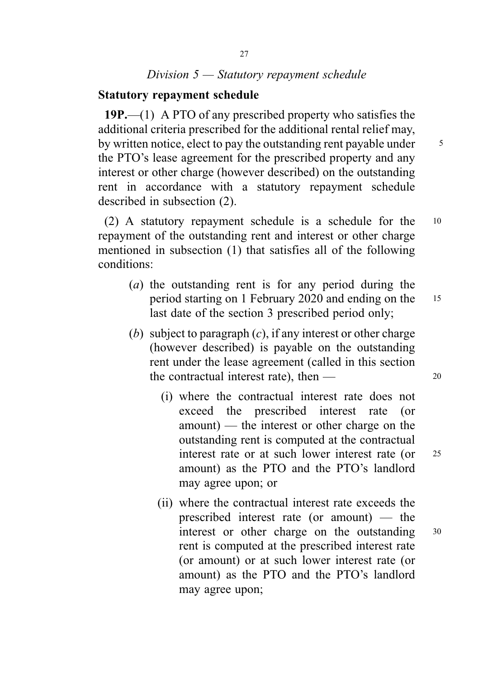# Division 5 — Statutory repayment schedule

### Statutory repayment schedule

19P.—(1) A PTO of any prescribed property who satisfies the additional criteria prescribed for the additional rental relief may, by written notice, elect to pay the outstanding rent payable under  $\frac{5}{5}$ the PTO's lease agreement for the prescribed property and any interest or other charge (however described) on the outstanding rent in accordance with a statutory repayment schedule described in subsection (2).

(2) A statutory repayment schedule is a schedule for the <sup>10</sup> repayment of the outstanding rent and interest or other charge mentioned in subsection (1) that satisfies all of the following conditions:

- (a) the outstanding rent is for any period during the period starting on 1 February 2020 and ending on the <sup>15</sup> last date of the section 3 prescribed period only;
- (b) subject to paragraph  $(c)$ , if any interest or other charge (however described) is payable on the outstanding rent under the lease agreement (called in this section the contractual interest rate), then  $\frac{1}{20}$ 
	- (i) where the contractual interest rate does not exceed the prescribed interest rate (or amount) — the interest or other charge on the outstanding rent is computed at the contractual interest rate or at such lower interest rate (or 25) amount) as the PTO and the PTO's landlord may agree upon; or
	- (ii) where the contractual interest rate exceeds the prescribed interest rate (or amount) — the interest or other charge on the outstanding <sup>30</sup> rent is computed at the prescribed interest rate (or amount) or at such lower interest rate (or amount) as the PTO and the PTO's landlord may agree upon;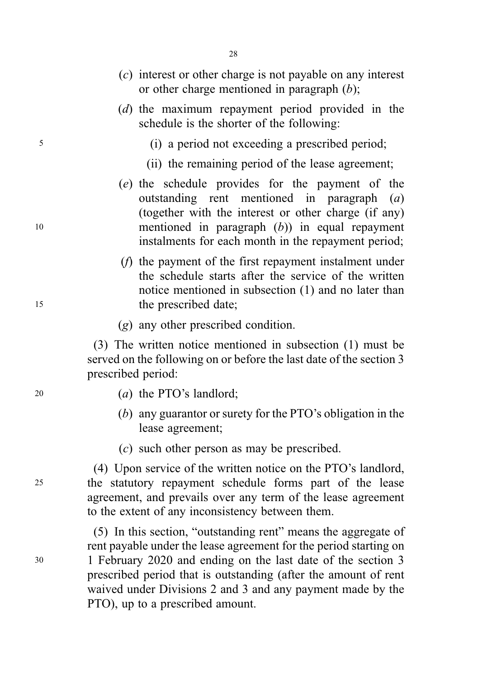- (c) interest or other charge is not payable on any interest or other charge mentioned in paragraph  $(b)$ ;
- (d) the maximum repayment period provided in the schedule is the shorter of the following:
- <sup>5</sup> (i) a period not exceeding a prescribed period;
	- (ii) the remaining period of the lease agreement;
- (e) the schedule provides for the payment of the outstanding rent mentioned in paragraph (a) (together with the interest or other charge (if any) <sup>10</sup> mentioned in paragraph (b)) in equal repayment instalments for each month in the repayment period;
- (f) the payment of the first repayment instalment under the schedule starts after the service of the written notice mentioned in subsection (1) and no later than 15 the prescribed date:
	- (g) any other prescribed condition.

(3) The written notice mentioned in subsection (1) must be served on the following on or before the last date of the section 3 prescribed period:

- <sup>20</sup> (a) the PTO's landlord;
	- (b) any guarantor or surety for the PTO's obligation in the lease agreement;
	- (c) such other person as may be prescribed.

(4) Upon service of the written notice on the PTO's landlord, <sup>25</sup> the statutory repayment schedule forms part of the lease agreement, and prevails over any term of the lease agreement to the extent of any inconsistency between them.

(5) In this section, "outstanding rent" means the aggregate of rent payable under the lease agreement for the period starting on <sup>30</sup> 1 February 2020 and ending on the last date of the section 3 prescribed period that is outstanding (after the amount of rent waived under Divisions 2 and 3 and any payment made by the PTO), up to a prescribed amount.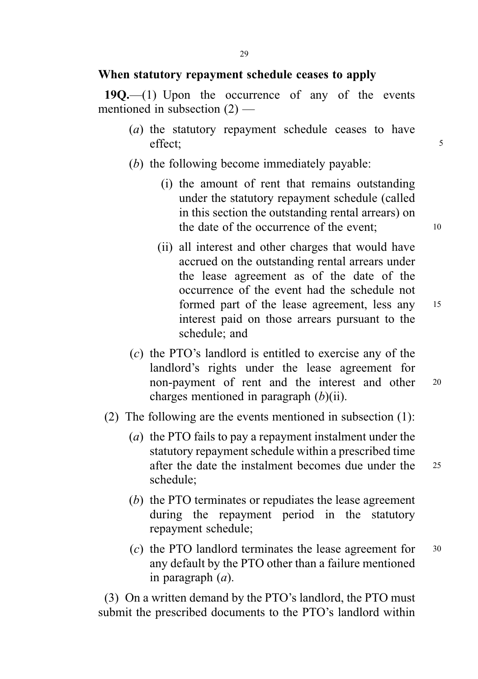#### When statutory repayment schedule ceases to apply

19Q.—(1) Upon the occurrence of any of the events mentioned in subsection  $(2)$  —

- (a) the statutory repayment schedule ceases to have effect;  $\frac{1}{5}$
- (b) the following become immediately payable:
	- (i) the amount of rent that remains outstanding under the statutory repayment schedule (called in this section the outstanding rental arrears) on the date of the occurrence of the event; 10
	- (ii) all interest and other charges that would have accrued on the outstanding rental arrears under the lease agreement as of the date of the occurrence of the event had the schedule not formed part of the lease agreement, less any <sup>15</sup> interest paid on those arrears pursuant to the schedule; and
- (c) the PTO's landlord is entitled to exercise any of the landlord's rights under the lease agreement for non-payment of rent and the interest and other <sup>20</sup> charges mentioned in paragraph  $(b)(ii)$ .
- (2) The following are the events mentioned in subsection (1):
	- (a) the PTO fails to pay a repayment instalment under the statutory repayment schedule within a prescribed time after the date the instalment becomes due under the <sup>25</sup> schedule;
	- (b) the PTO terminates or repudiates the lease agreement during the repayment period in the statutory repayment schedule;
	- (c) the PTO landlord terminates the lease agreement for <sup>30</sup> any default by the PTO other than a failure mentioned in paragraph  $(a)$ .

(3) On a written demand by the PTO's landlord, the PTO must submit the prescribed documents to the PTO's landlord within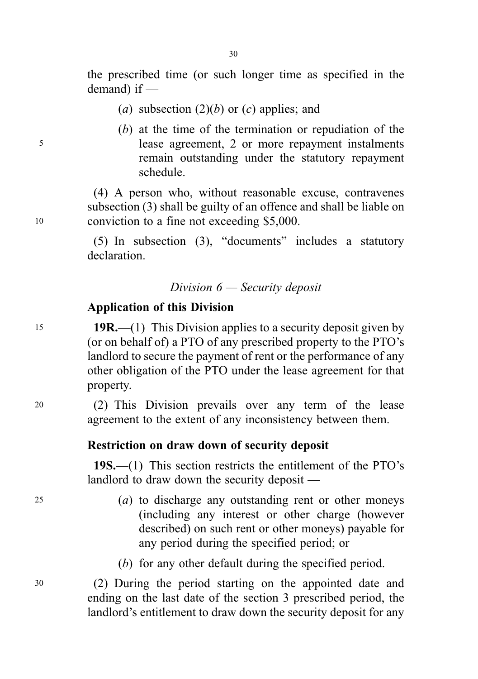the prescribed time (or such longer time as specified in the demand) if —

- (a) subsection  $(2)(b)$  or  $(c)$  applies; and
- (b) at the time of the termination or repudiation of the <sup>5</sup> lease agreement, 2 or more repayment instalments remain outstanding under the statutory repayment schedule.

(4) A person who, without reasonable excuse, contravenes subsection (3) shall be guilty of an offence and shall be liable on <sup>10</sup> conviction to a fine not exceeding \$5,000.

> (5) In subsection (3), "documents" includes a statutory declaration.

### Division 6 — Security deposit

# Application of this Division

15 **19R.**—(1) This Division applies to a security deposit given by (or on behalf of) a PTO of any prescribed property to the PTO's landlord to secure the payment of rent or the performance of any other obligation of the PTO under the lease agreement for that property.

<sup>20</sup> (2) This Division prevails over any term of the lease agreement to the extent of any inconsistency between them.

### Restriction on draw down of security deposit

19S.—(1) This section restricts the entitlement of the PTO's landlord to draw down the security deposit —

- <sup>25</sup> (a) to discharge any outstanding rent or other moneys (including any interest or other charge (however described) on such rent or other moneys) payable for any period during the specified period; or
	- (b) for any other default during the specified period.

<sup>30</sup> (2) During the period starting on the appointed date and ending on the last date of the section 3 prescribed period, the landlord's entitlement to draw down the security deposit for any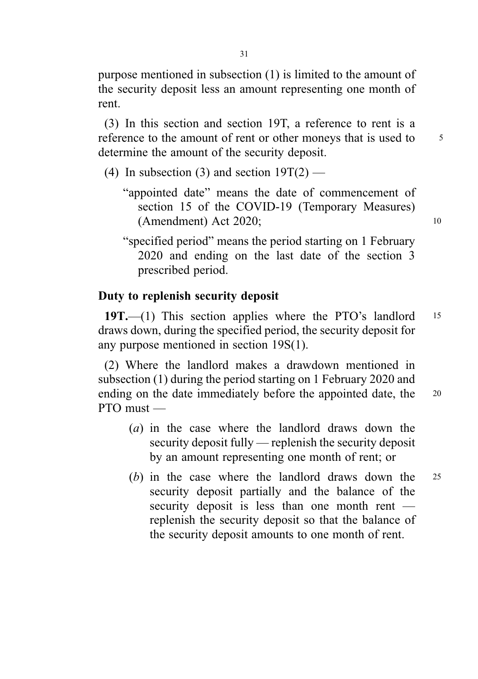purpose mentioned in subsection (1) is limited to the amount of the security deposit less an amount representing one month of rent.

(3) In this section and section 19T, a reference to rent is a reference to the amount of rent or other moneys that is used to 5 determine the amount of the security deposit.

- (4) In subsection (3) and section  $19T(2)$ 
	- "appointed date" means the date of commencement of section 15 of the COVID-19 (Temporary Measures) (Amendment) Act 2020; 10
	- "specified period" means the period starting on 1 February 2020 and ending on the last date of the section 3 prescribed period.

# Duty to replenish security deposit

19T.—(1) This section applies where the PTO's landlord 15 draws down, during the specified period, the security deposit for any purpose mentioned in section 19S(1).

(2) Where the landlord makes a drawdown mentioned in subsection (1) during the period starting on 1 February 2020 and ending on the date immediately before the appointed date, the 20  $PTO$  must —

- (a) in the case where the landlord draws down the security deposit fully — replenish the security deposit by an amount representing one month of rent; or
- (b) in the case where the landlord draws down the <sup>25</sup> security deposit partially and the balance of the security deposit is less than one month rent replenish the security deposit so that the balance of the security deposit amounts to one month of rent.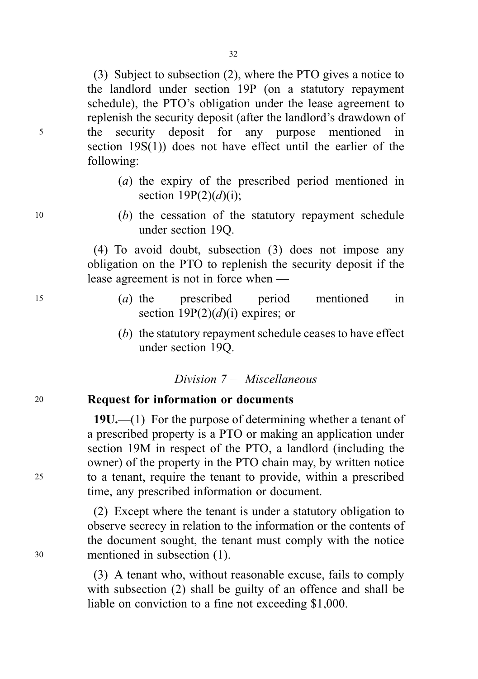(3) Subject to subsection (2), where the PTO gives a notice to the landlord under section 19P (on a statutory repayment schedule), the PTO's obligation under the lease agreement to replenish the security deposit (after the landlord's drawdown of <sup>5</sup> the security deposit for any purpose mentioned in section 19S(1)) does not have effect until the earlier of the following:

- (a) the expiry of the prescribed period mentioned in section  $19P(2)(d)(i)$ ;
- <sup>10</sup> (b) the cessation of the statutory repayment schedule under section 19Q.

(4) To avoid doubt, subsection (3) does not impose any obligation on the PTO to replenish the security deposit if the lease agreement is not in force when —

- <sup>15</sup> (a) the prescribed period mentioned in section  $19P(2)(d)(i)$  expires; or
	- (b) the statutory repayment schedule ceases to have effect under section 19Q.

### Division 7 — Miscellaneous

### <sup>20</sup> Request for information or documents

19U.—(1) For the purpose of determining whether a tenant of a prescribed property is a PTO or making an application under section 19M in respect of the PTO, a landlord (including the owner) of the property in the PTO chain may, by written notice <sup>25</sup> to a tenant, require the tenant to provide, within a prescribed time, any prescribed information or document.

(2) Except where the tenant is under a statutory obligation to observe secrecy in relation to the information or the contents of the document sought, the tenant must comply with the notice <sup>30</sup> mentioned in subsection (1).

> (3) A tenant who, without reasonable excuse, fails to comply with subsection (2) shall be guilty of an offence and shall be liable on conviction to a fine not exceeding \$1,000.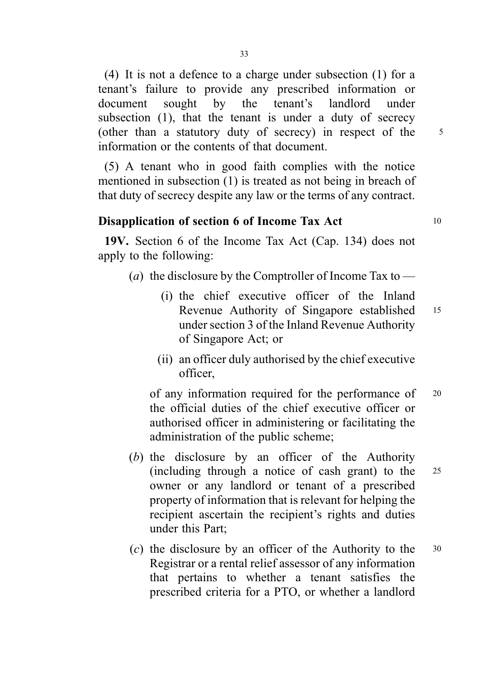(4) It is not a defence to a charge under subsection (1) for a tenant's failure to provide any prescribed information or document sought by the tenant's landlord under subsection (1), that the tenant is under a duty of secrecy (other than a statutory duty of secrecy) in respect of the <sup>5</sup> information or the contents of that document.

(5) A tenant who in good faith complies with the notice mentioned in subsection (1) is treated as not being in breach of that duty of secrecy despite any law or the terms of any contract.

# Disapplication of section 6 of Income Tax Act 10

19V. Section 6 of the Income Tax Act (Cap. 134) does not apply to the following:

- (*a*) the disclosure by the Comptroller of Income Tax to
	- (i) the chief executive officer of the Inland Revenue Authority of Singapore established <sup>15</sup> under section 3 of the Inland Revenue Authority of Singapore Act; or
	- (ii) an officer duly authorised by the chief executive officer,

of any information required for the performance of <sup>20</sup> the official duties of the chief executive officer or authorised officer in administering or facilitating the administration of the public scheme;

- (b) the disclosure by an officer of the Authority (including through a notice of cash grant) to the <sup>25</sup> owner or any landlord or tenant of a prescribed property of information that is relevant for helping the recipient ascertain the recipient's rights and duties under this Part;
- (c) the disclosure by an officer of the Authority to the <sup>30</sup> Registrar or a rental relief assessor of any information that pertains to whether a tenant satisfies the prescribed criteria for a PTO, or whether a landlord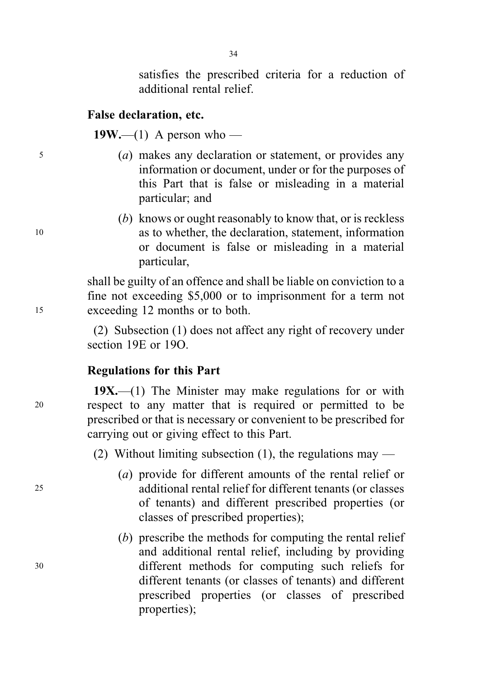satisfies the prescribed criteria for a reduction of additional rental relief.

### False declaration, etc.

19W.—(1) A person who —

- <sup>5</sup> (a) makes any declaration or statement, or provides any information or document, under or for the purposes of this Part that is false or misleading in a material particular; and
- (b) knows or ought reasonably to know that, or is reckless <sup>10</sup> as to whether, the declaration, statement, information or document is false or misleading in a material particular,

shall be guilty of an offence and shall be liable on conviction to a fine not exceeding \$5,000 or to imprisonment for a term not <sup>15</sup> exceeding 12 months or to both.

> (2) Subsection (1) does not affect any right of recovery under section 19E or 19O.

### Regulations for this Part

 $19X$ ,—(1) The Minister may make regulations for or with <sup>20</sup> respect to any matter that is required or permitted to be prescribed or that is necessary or convenient to be prescribed for carrying out or giving effect to this Part.

(2) Without limiting subsection (1), the regulations may —

- (a) provide for different amounts of the rental relief or <sup>25</sup> additional rental relief for different tenants (or classes of tenants) and different prescribed properties (or classes of prescribed properties);
- (b) prescribe the methods for computing the rental relief and additional rental relief, including by providing <sup>30</sup> different methods for computing such reliefs for different tenants (or classes of tenants) and different prescribed properties (or classes of prescribed properties);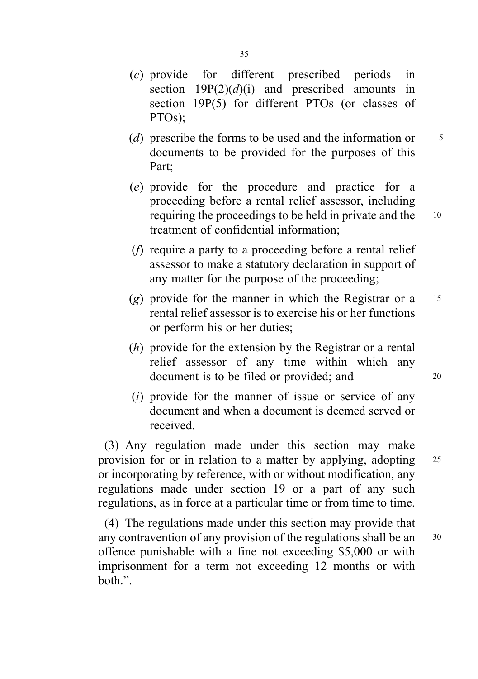- (d) prescribe the forms to be used and the information or  $\frac{5}{5}$ documents to be provided for the purposes of this Part;
- (e) provide for the procedure and practice for a proceeding before a rental relief assessor, including requiring the proceedings to be held in private and the <sup>10</sup> treatment of confidential information;
- (f) require a party to a proceeding before a rental relief assessor to make a statutory declaration in support of any matter for the purpose of the proceeding;
- (g) provide for the manner in which the Registrar or a  $15$ rental relief assessor is to exercise his or her functions or perform his or her duties;
- (h) provide for the extension by the Registrar or a rental relief assessor of any time within which any document is to be filed or provided; and 20
- $(i)$  provide for the manner of issue or service of any document and when a document is deemed served or received.

(3) Any regulation made under this section may make provision for or in relation to a matter by applying, adopting <sup>25</sup> or incorporating by reference, with or without modification, any regulations made under section 19 or a part of any such regulations, as in force at a particular time or from time to time.

(4) The regulations made under this section may provide that any contravention of any provision of the regulations shall be an <sup>30</sup> offence punishable with a fine not exceeding \$5,000 or with imprisonment for a term not exceeding 12 months or with both.".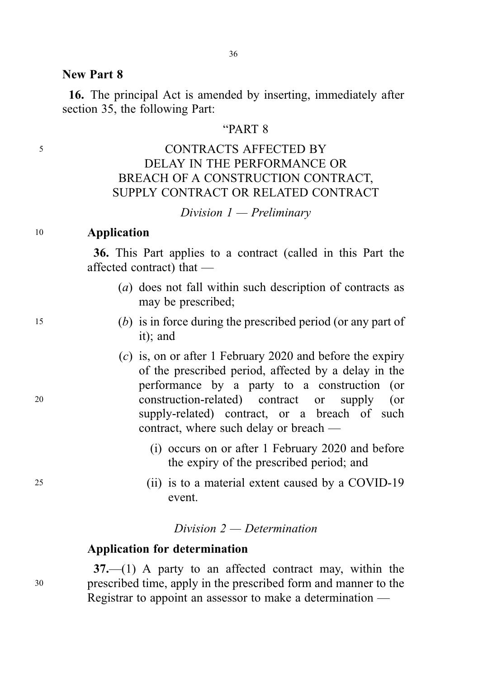#### New Part 8

16. The principal Act is amended by inserting, immediately after section 35, the following Part:

# "PART 8

# <sup>5</sup> CONTRACTS AFFECTED BY DELAY IN THE PERFORMANCE OR BREACH OF A CONSTRUCTION CONTRACT, SUPPLY CONTRACT OR RELATED CONTRACT

Division  $1$  — Preliminary

### <sup>10</sup> Application

36. This Part applies to a contract (called in this Part the affected contract) that —

- (a) does not fall within such description of contracts as may be prescribed;
- <sup>15</sup> (b) is in force during the prescribed period (or any part of it); and
- (c) is, on or after 1 February 2020 and before the expiry of the prescribed period, affected by a delay in the performance by a party to a construction (or <sup>20</sup> construction-related) contract or supply (or supply-related) contract, or a breach of such contract, where such delay or breach —
	- (i) occurs on or after 1 February 2020 and before the expiry of the prescribed period; and
- <sup>25</sup> (ii) is to a material extent caused by a COVID-19 event.

### Division 2 — Determination

#### Application for determination

37.—(1) A party to an affected contract may, within the <sup>30</sup> prescribed time, apply in the prescribed form and manner to the Registrar to appoint an assessor to make a determination —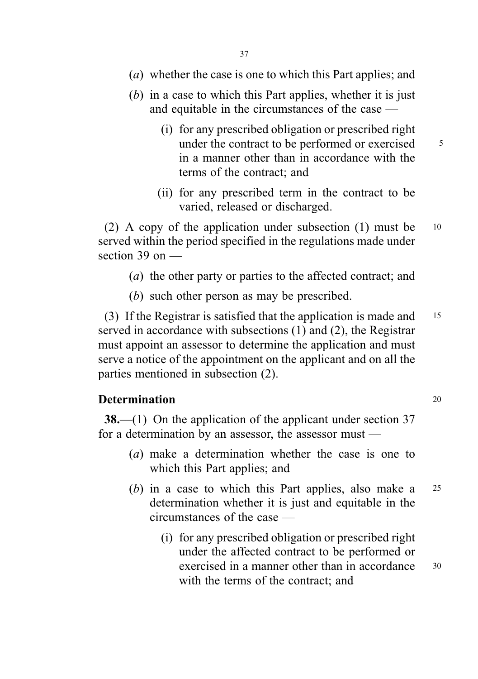- (a) whether the case is one to which this Part applies; and
- (b) in a case to which this Part applies, whether it is just and equitable in the circumstances of the case —
	- (i) for any prescribed obligation or prescribed right under the contract to be performed or exercised  $\frac{5}{10}$ in a manner other than in accordance with the terms of the contract; and
	- (ii) for any prescribed term in the contract to be varied, released or discharged.

(2) A copy of the application under subsection (1) must be <sup>10</sup> served within the period specified in the regulations made under section 39 on —

- (a) the other party or parties to the affected contract; and
- (b) such other person as may be prescribed.

(3) If the Registrar is satisfied that the application is made and <sup>15</sup> served in accordance with subsections (1) and (2), the Registrar must appoint an assessor to determine the application and must serve a notice of the appointment on the applicant and on all the parties mentioned in subsection (2).

### **Determination** 20

38.—(1) On the application of the applicant under section 37 for a determination by an assessor, the assessor must —

- (a) make a determination whether the case is one to which this Part applies; and
- (b) in a case to which this Part applies, also make a 25 determination whether it is just and equitable in the circumstances of the case —
	- (i) for any prescribed obligation or prescribed right under the affected contract to be performed or exercised in a manner other than in accordance 30 with the terms of the contract; and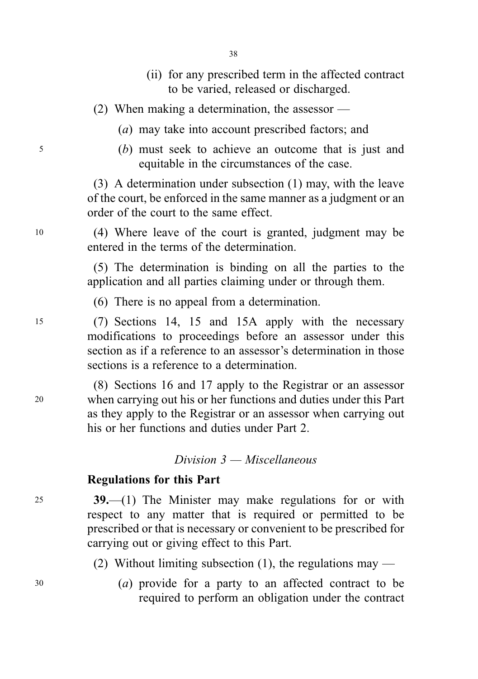- (ii) for any prescribed term in the affected contract to be varied, released or discharged.
- (2) When making a determination, the assessor
	- (a) may take into account prescribed factors; and
- <sup>5</sup> (b) must seek to achieve an outcome that is just and equitable in the circumstances of the case.

(3) A determination under subsection (1) may, with the leave of the court, be enforced in the same manner as a judgment or an order of the court to the same effect.

<sup>10</sup> (4) Where leave of the court is granted, judgment may be entered in the terms of the determination.

> (5) The determination is binding on all the parties to the application and all parties claiming under or through them.

(6) There is no appeal from a determination.

<sup>15</sup> (7) Sections 14, 15 and 15A apply with the necessary modifications to proceedings before an assessor under this section as if a reference to an assessor's determination in those sections is a reference to a determination.

(8) Sections 16 and 17 apply to the Registrar or an assessor <sup>20</sup> when carrying out his or her functions and duties under this Part as they apply to the Registrar or an assessor when carrying out his or her functions and duties under Part 2.

# Division 3 — Miscellaneous

# Regulations for this Part

<sup>25</sup> 39.—(1) The Minister may make regulations for or with respect to any matter that is required or permitted to be prescribed or that is necessary or convenient to be prescribed for carrying out or giving effect to this Part.

- (2) Without limiting subsection (1), the regulations may —
- <sup>30</sup> (a) provide for a party to an affected contract to be required to perform an obligation under the contract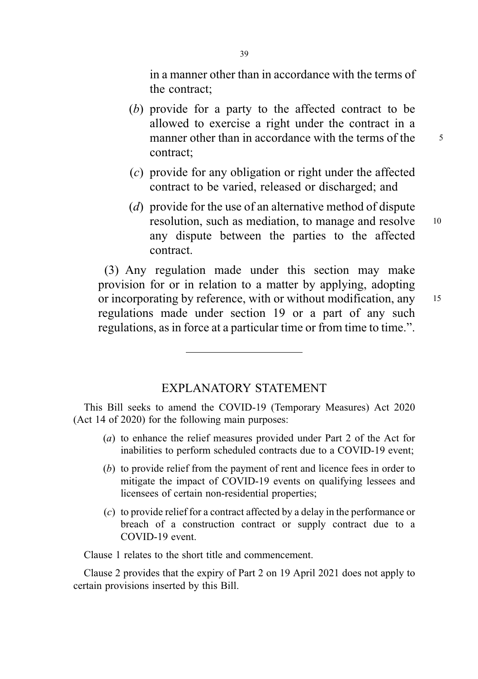in a manner other than in accordance with the terms of the contract;

- (b) provide for a party to the affected contract to be allowed to exercise a right under the contract in a manner other than in accordance with the terms of the  $\qquad$  5 contract;
- (c) provide for any obligation or right under the affected contract to be varied, released or discharged; and
- (d) provide for the use of an alternative method of dispute resolution, such as mediation, to manage and resolve 10 any dispute between the parties to the affected contract.

(3) Any regulation made under this section may make provision for or in relation to a matter by applying, adopting or incorporating by reference, with or without modification, any 15 regulations made under section 19 or a part of any such regulations, as in force at a particular time or from time to time.".

## EXPLANATORY STATEMENT

This Bill seeks to amend the COVID-19 (Temporary Measures) Act 2020 (Act 14 of 2020) for the following main purposes:

- (a) to enhance the relief measures provided under Part 2 of the Act for inabilities to perform scheduled contracts due to a COVID-19 event;
- (b) to provide relief from the payment of rent and licence fees in order to mitigate the impact of COVID-19 events on qualifying lessees and licensees of certain non-residential properties;
- (c) to provide relief for a contract affected by a delay in the performance or breach of a construction contract or supply contract due to a COVID-19 event.

Clause 1 relates to the short title and commencement.

Clause 2 provides that the expiry of Part 2 on 19 April 2021 does not apply to certain provisions inserted by this Bill.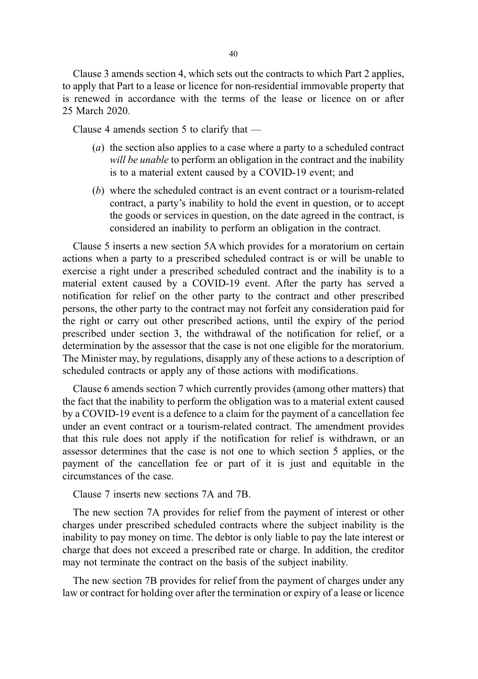Clause 3 amends section 4, which sets out the contracts to which Part 2 applies, to apply that Part to a lease or licence for non-residential immovable property that is renewed in accordance with the terms of the lease or licence on or after 25 March 2020.

Clause 4 amends section 5 to clarify that —

- (a) the section also applies to a case where a party to a scheduled contract will be unable to perform an obligation in the contract and the inability is to a material extent caused by a COVID-19 event; and
- (b) where the scheduled contract is an event contract or a tourism-related contract, a party's inability to hold the event in question, or to accept the goods or services in question, on the date agreed in the contract, is considered an inability to perform an obligation in the contract.

Clause 5 inserts a new section 5A which provides for a moratorium on certain actions when a party to a prescribed scheduled contract is or will be unable to exercise a right under a prescribed scheduled contract and the inability is to a material extent caused by a COVID-19 event. After the party has served a notification for relief on the other party to the contract and other prescribed persons, the other party to the contract may not forfeit any consideration paid for the right or carry out other prescribed actions, until the expiry of the period prescribed under section 3, the withdrawal of the notification for relief, or a determination by the assessor that the case is not one eligible for the moratorium. The Minister may, by regulations, disapply any of these actions to a description of scheduled contracts or apply any of those actions with modifications.

Clause 6 amends section 7 which currently provides (among other matters) that the fact that the inability to perform the obligation was to a material extent caused by a COVID-19 event is a defence to a claim for the payment of a cancellation fee under an event contract or a tourism-related contract. The amendment provides that this rule does not apply if the notification for relief is withdrawn, or an assessor determines that the case is not one to which section 5 applies, or the payment of the cancellation fee or part of it is just and equitable in the circumstances of the case.

Clause 7 inserts new sections 7A and 7B.

The new section 7A provides for relief from the payment of interest or other charges under prescribed scheduled contracts where the subject inability is the inability to pay money on time. The debtor is only liable to pay the late interest or charge that does not exceed a prescribed rate or charge. In addition, the creditor may not terminate the contract on the basis of the subject inability.

The new section 7B provides for relief from the payment of charges under any law or contract for holding over after the termination or expiry of a lease or licence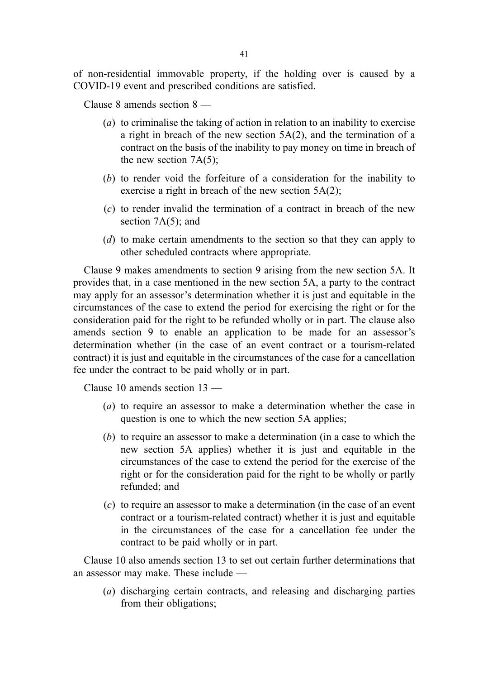of non-residential immovable property, if the holding over is caused by a COVID-19 event and prescribed conditions are satisfied.

Clause 8 amends section 8 —

- (a) to criminalise the taking of action in relation to an inability to exercise a right in breach of the new section 5A(2), and the termination of a contract on the basis of the inability to pay money on time in breach of the new section 7A(5);
- (b) to render void the forfeiture of a consideration for the inability to exercise a right in breach of the new section 5A(2);
- (c) to render invalid the termination of a contract in breach of the new section 7A(5); and
- (d) to make certain amendments to the section so that they can apply to other scheduled contracts where appropriate.

Clause 9 makes amendments to section 9 arising from the new section 5A. It provides that, in a case mentioned in the new section 5A, a party to the contract may apply for an assessor's determination whether it is just and equitable in the circumstances of the case to extend the period for exercising the right or for the consideration paid for the right to be refunded wholly or in part. The clause also amends section 9 to enable an application to be made for an assessor's determination whether (in the case of an event contract or a tourism-related contract) it is just and equitable in the circumstances of the case for a cancellation fee under the contract to be paid wholly or in part.

Clause 10 amends section 13 —

- (a) to require an assessor to make a determination whether the case in question is one to which the new section 5A applies;
- (b) to require an assessor to make a determination (in a case to which the new section 5A applies) whether it is just and equitable in the circumstances of the case to extend the period for the exercise of the right or for the consideration paid for the right to be wholly or partly refunded; and
- (c) to require an assessor to make a determination (in the case of an event contract or a tourism-related contract) whether it is just and equitable in the circumstances of the case for a cancellation fee under the contract to be paid wholly or in part.

Clause 10 also amends section 13 to set out certain further determinations that an assessor may make. These include —

(a) discharging certain contracts, and releasing and discharging parties from their obligations;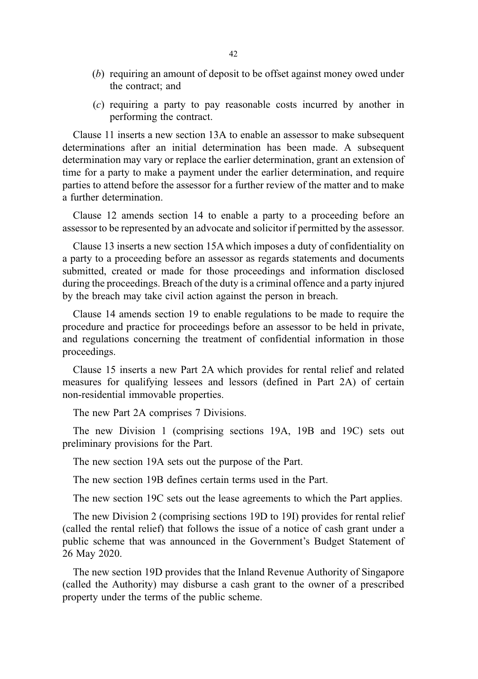- (b) requiring an amount of deposit to be offset against money owed under the contract; and
- (c) requiring a party to pay reasonable costs incurred by another in performing the contract.

Clause 11 inserts a new section 13A to enable an assessor to make subsequent determinations after an initial determination has been made. A subsequent determination may vary or replace the earlier determination, grant an extension of time for a party to make a payment under the earlier determination, and require parties to attend before the assessor for a further review of the matter and to make a further determination.

Clause 12 amends section 14 to enable a party to a proceeding before an assessor to be represented by an advocate and solicitor if permitted by the assessor.

Clause 13 inserts a new section 15A which imposes a duty of confidentiality on a party to a proceeding before an assessor as regards statements and documents submitted, created or made for those proceedings and information disclosed during the proceedings. Breach of the duty is a criminal offence and a party injured by the breach may take civil action against the person in breach.

Clause 14 amends section 19 to enable regulations to be made to require the procedure and practice for proceedings before an assessor to be held in private, and regulations concerning the treatment of confidential information in those proceedings.

Clause 15 inserts a new Part 2A which provides for rental relief and related measures for qualifying lessees and lessors (defined in Part 2A) of certain non-residential immovable properties.

The new Part 2A comprises 7 Divisions.

The new Division 1 (comprising sections 19A, 19B and 19C) sets out preliminary provisions for the Part.

The new section 19A sets out the purpose of the Part.

The new section 19B defines certain terms used in the Part.

The new section 19C sets out the lease agreements to which the Part applies.

The new Division 2 (comprising sections 19D to 19I) provides for rental relief (called the rental relief) that follows the issue of a notice of cash grant under a public scheme that was announced in the Government's Budget Statement of 26 May 2020.

The new section 19D provides that the Inland Revenue Authority of Singapore (called the Authority) may disburse a cash grant to the owner of a prescribed property under the terms of the public scheme.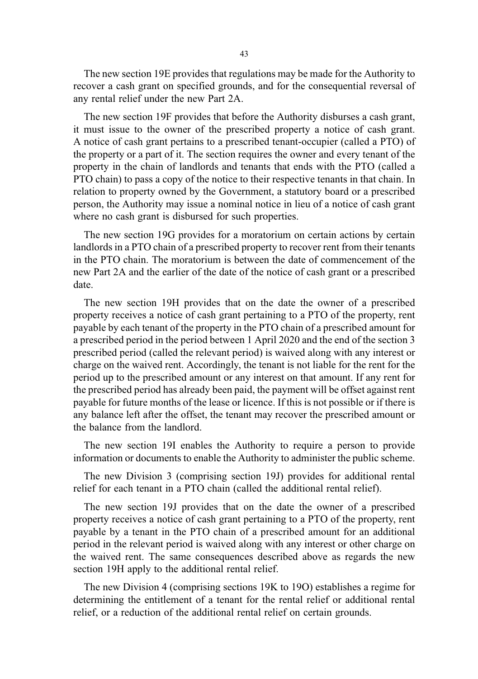The new section 19E provides that regulations may be made for the Authority to recover a cash grant on specified grounds, and for the consequential reversal of any rental relief under the new Part 2A.

The new section 19F provides that before the Authority disburses a cash grant, it must issue to the owner of the prescribed property a notice of cash grant. A notice of cash grant pertains to a prescribed tenant-occupier (called a PTO) of the property or a part of it. The section requires the owner and every tenant of the property in the chain of landlords and tenants that ends with the PTO (called a PTO chain) to pass a copy of the notice to their respective tenants in that chain. In relation to property owned by the Government, a statutory board or a prescribed person, the Authority may issue a nominal notice in lieu of a notice of cash grant where no cash grant is disbursed for such properties.

The new section 19G provides for a moratorium on certain actions by certain landlords in a PTO chain of a prescribed property to recover rent from their tenants in the PTO chain. The moratorium is between the date of commencement of the new Part 2A and the earlier of the date of the notice of cash grant or a prescribed date.

The new section 19H provides that on the date the owner of a prescribed property receives a notice of cash grant pertaining to a PTO of the property, rent payable by each tenant of the property in the PTO chain of a prescribed amount for a prescribed period in the period between 1 April 2020 and the end of the section 3 prescribed period (called the relevant period) is waived along with any interest or charge on the waived rent. Accordingly, the tenant is not liable for the rent for the period up to the prescribed amount or any interest on that amount. If any rent for the prescribed period has already been paid, the payment will be offset against rent payable for future months of the lease or licence. If this is not possible or if there is any balance left after the offset, the tenant may recover the prescribed amount or the balance from the landlord.

The new section 19I enables the Authority to require a person to provide information or documents to enable the Authority to administer the public scheme.

The new Division 3 (comprising section 19J) provides for additional rental relief for each tenant in a PTO chain (called the additional rental relief).

The new section 19J provides that on the date the owner of a prescribed property receives a notice of cash grant pertaining to a PTO of the property, rent payable by a tenant in the PTO chain of a prescribed amount for an additional period in the relevant period is waived along with any interest or other charge on the waived rent. The same consequences described above as regards the new section 19H apply to the additional rental relief.

The new Division 4 (comprising sections 19K to 19O) establishes a regime for determining the entitlement of a tenant for the rental relief or additional rental relief, or a reduction of the additional rental relief on certain grounds.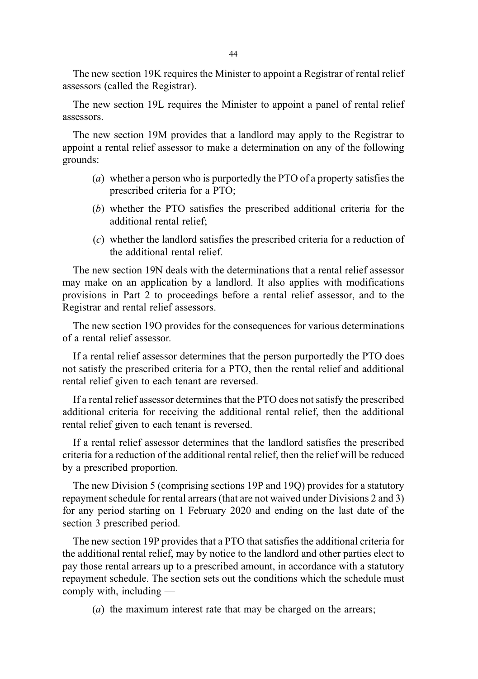44

The new section 19K requires the Minister to appoint a Registrar of rental relief assessors (called the Registrar).

The new section 19L requires the Minister to appoint a panel of rental relief assessors.

The new section 19M provides that a landlord may apply to the Registrar to appoint a rental relief assessor to make a determination on any of the following grounds:

- (a) whether a person who is purportedly the PTO of a property satisfies the prescribed criteria for a PTO;
- (b) whether the PTO satisfies the prescribed additional criteria for the additional rental relief;
- (c) whether the landlord satisfies the prescribed criteria for a reduction of the additional rental relief.

The new section 19N deals with the determinations that a rental relief assessor may make on an application by a landlord. It also applies with modifications provisions in Part 2 to proceedings before a rental relief assessor, and to the Registrar and rental relief assessors.

The new section 19O provides for the consequences for various determinations of a rental relief assessor.

If a rental relief assessor determines that the person purportedly the PTO does not satisfy the prescribed criteria for a PTO, then the rental relief and additional rental relief given to each tenant are reversed.

If a rental relief assessor determines that the PTO does not satisfy the prescribed additional criteria for receiving the additional rental relief, then the additional rental relief given to each tenant is reversed.

If a rental relief assessor determines that the landlord satisfies the prescribed criteria for a reduction of the additional rental relief, then the relief will be reduced by a prescribed proportion.

The new Division 5 (comprising sections 19P and 19Q) provides for a statutory repayment schedule for rental arrears (that are not waived under Divisions 2 and 3) for any period starting on 1 February 2020 and ending on the last date of the section 3 prescribed period.

The new section 19P provides that a PTO that satisfies the additional criteria for the additional rental relief, may by notice to the landlord and other parties elect to pay those rental arrears up to a prescribed amount, in accordance with a statutory repayment schedule. The section sets out the conditions which the schedule must comply with, including —

(a) the maximum interest rate that may be charged on the arrears;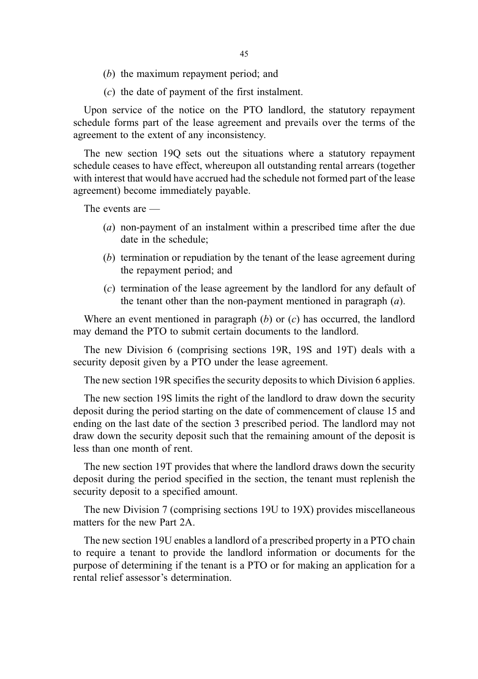- (b) the maximum repayment period; and
- (c) the date of payment of the first instalment.

Upon service of the notice on the PTO landlord, the statutory repayment schedule forms part of the lease agreement and prevails over the terms of the agreement to the extent of any inconsistency.

The new section 19Q sets out the situations where a statutory repayment schedule ceases to have effect, whereupon all outstanding rental arrears (together with interest that would have accrued had the schedule not formed part of the lease agreement) become immediately payable.

The events are —

- (a) non-payment of an instalment within a prescribed time after the due date in the schedule;
- (b) termination or repudiation by the tenant of the lease agreement during the repayment period; and
- (c) termination of the lease agreement by the landlord for any default of the tenant other than the non-payment mentioned in paragraph  $(a)$ .

Where an event mentioned in paragraph  $(b)$  or  $(c)$  has occurred, the landlord may demand the PTO to submit certain documents to the landlord.

The new Division 6 (comprising sections 19R, 19S and 19T) deals with a security deposit given by a PTO under the lease agreement.

The new section 19R specifies the security deposits to which Division 6 applies.

The new section 19S limits the right of the landlord to draw down the security deposit during the period starting on the date of commencement of clause 15 and ending on the last date of the section 3 prescribed period. The landlord may not draw down the security deposit such that the remaining amount of the deposit is less than one month of rent.

The new section 19T provides that where the landlord draws down the security deposit during the period specified in the section, the tenant must replenish the security deposit to a specified amount.

The new Division 7 (comprising sections 19U to 19X) provides miscellaneous matters for the new Part 2A.

The new section 19U enables a landlord of a prescribed property in a PTO chain to require a tenant to provide the landlord information or documents for the purpose of determining if the tenant is a PTO or for making an application for a rental relief assessor's determination.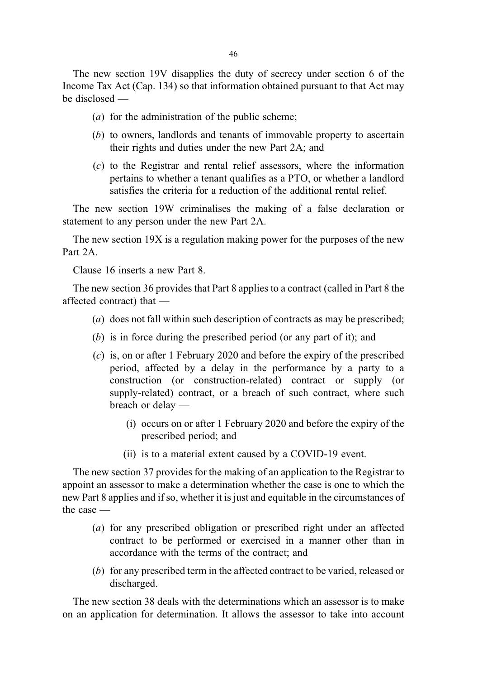The new section 19V disapplies the duty of secrecy under section 6 of the Income Tax Act (Cap. 134) so that information obtained pursuant to that Act may be disclosed —

- (a) for the administration of the public scheme;
- (b) to owners, landlords and tenants of immovable property to ascertain their rights and duties under the new Part 2A; and
- (c) to the Registrar and rental relief assessors, where the information pertains to whether a tenant qualifies as a PTO, or whether a landlord satisfies the criteria for a reduction of the additional rental relief.

The new section 19W criminalises the making of a false declaration or statement to any person under the new Part 2A.

The new section 19X is a regulation making power for the purposes of the new Part 2A

Clause 16 inserts a new Part 8.

The new section 36 provides that Part 8 applies to a contract (called in Part 8 the affected contract) that —

- (a) does not fall within such description of contracts as may be prescribed;
- (b) is in force during the prescribed period (or any part of it); and
- (c) is, on or after 1 February 2020 and before the expiry of the prescribed period, affected by a delay in the performance by a party to a construction (or construction-related) contract or supply (or supply-related) contract, or a breach of such contract, where such breach or delay —
	- (i) occurs on or after 1 February 2020 and before the expiry of the prescribed period; and
	- (ii) is to a material extent caused by a COVID-19 event.

The new section 37 provides for the making of an application to the Registrar to appoint an assessor to make a determination whether the case is one to which the new Part 8 applies and if so, whether it is just and equitable in the circumstances of the case —

- (a) for any prescribed obligation or prescribed right under an affected contract to be performed or exercised in a manner other than in accordance with the terms of the contract; and
- (b) for any prescribed term in the affected contract to be varied, released or discharged.

The new section 38 deals with the determinations which an assessor is to make on an application for determination. It allows the assessor to take into account